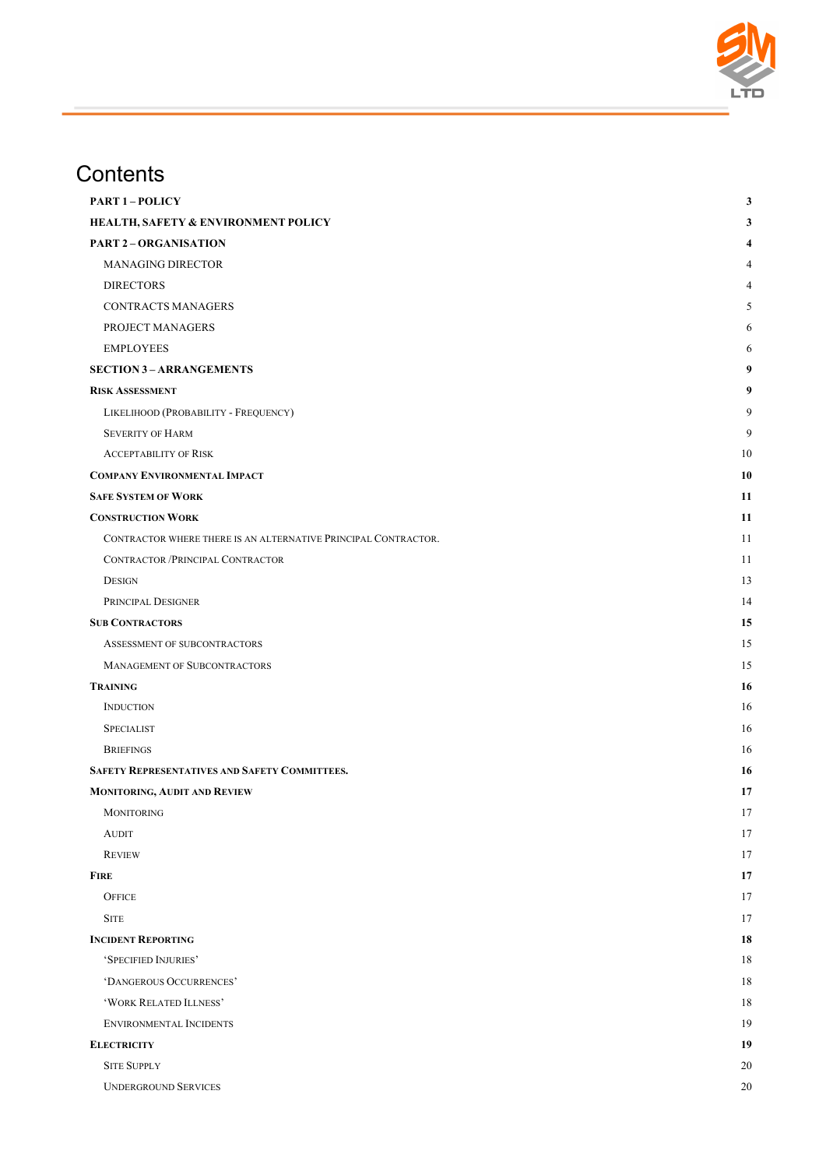

# **Contents**

| <b>PART 1-POLICY</b>                                           | $\mathbf{3}$ |
|----------------------------------------------------------------|--------------|
| HEALTH, SAFETY & ENVIRONMENT POLICY                            | 3            |
| <b>PART 2-ORGANISATION</b>                                     | 4            |
| <b>MANAGING DIRECTOR</b>                                       | 4            |
| <b>DIRECTORS</b>                                               | 4            |
| <b>CONTRACTS MANAGERS</b>                                      | 5            |
| PROJECT MANAGERS                                               | 6            |
| <b>EMPLOYEES</b>                                               | 6            |
| <b>SECTION 3-ARRANGEMENTS</b>                                  | 9            |
| <b>RISK ASSESSMENT</b>                                         | 9            |
| LIKELIHOOD (PROBABILITY - FREQUENCY)                           | 9            |
| <b>SEVERITY OF HARM</b>                                        | 9            |
| <b>ACCEPTABILITY OF RISK</b>                                   | 10           |
| <b>COMPANY ENVIRONMENTAL IMPACT</b>                            | 10           |
| <b>SAFE SYSTEM OF WORK</b>                                     | 11           |
| <b>CONSTRUCTION WORK</b>                                       | 11           |
| CONTRACTOR WHERE THERE IS AN ALTERNATIVE PRINCIPAL CONTRACTOR. | 11           |
| CONTRACTOR / PRINCIPAL CONTRACTOR                              | 11           |
| <b>DESIGN</b>                                                  | 13           |
| PRINCIPAL DESIGNER                                             | 14           |
| <b>SUB CONTRACTORS</b>                                         | 15           |
| ASSESSMENT OF SUBCONTRACTORS                                   | 15           |
| <b>MANAGEMENT OF SUBCONTRACTORS</b>                            | 15           |
| <b>TRAINING</b>                                                | 16           |
| <b>INDUCTION</b>                                               | 16           |
| <b>SPECIALIST</b>                                              | 16           |
| <b>BRIEFINGS</b>                                               | 16           |
| SAFETY REPRESENTATIVES AND SAFETY COMMITTEES.                  | 16           |
| MONITORING, AUDIT AND REVIEW                                   | 17           |
| MONITORING                                                     | 17           |
| <b>AUDIT</b>                                                   | 17           |
| <b>REVIEW</b>                                                  | 17           |
| <b>FIRE</b>                                                    | 17           |
| <b>OFFICE</b>                                                  | 17           |
| <b>SITE</b>                                                    | 17           |
| <b>INCIDENT REPORTING</b>                                      | 18           |
| 'SPECIFIED INJURIES'                                           | 18           |
| 'DANGEROUS OCCURRENCES'                                        | 18           |
| 'WORK RELATED ILLNESS'                                         | 18           |
| <b>ENVIRONMENTAL INCIDENTS</b>                                 | 19           |
| <b>ELECTRICITY</b>                                             | 19           |
| <b>SITE SUPPLY</b>                                             | 20           |
| <b>UNDERGROUND SERVICES</b>                                    | 20           |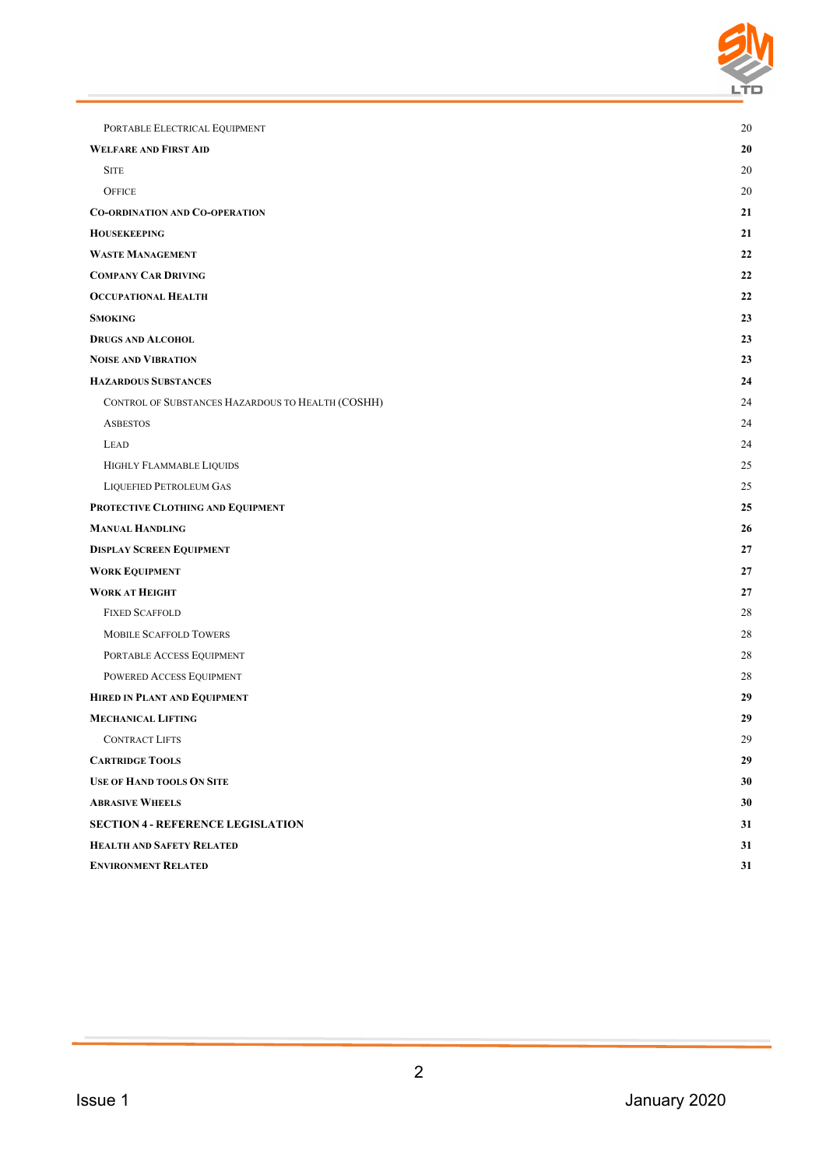

| PORTABLE ELECTRICAL EQUIPMENT                     | 20 |
|---------------------------------------------------|----|
| <b>WELFARE AND FIRST AID</b>                      | 20 |
| <b>SITE</b>                                       | 20 |
| <b>OFFICE</b>                                     | 20 |
| <b>CO-ORDINATION AND CO-OPERATION</b>             | 21 |
| <b>HOUSEKEEPING</b>                               | 21 |
| <b>WASTE MANAGEMENT</b>                           | 22 |
| <b>COMPANY CAR DRIVING</b>                        | 22 |
| <b>OCCUPATIONAL HEALTH</b>                        | 22 |
| <b>SMOKING</b>                                    | 23 |
| <b>DRUGS AND ALCOHOL</b>                          | 23 |
| <b>NOISE AND VIBRATION</b>                        | 23 |
| <b>HAZARDOUS SUBSTANCES</b>                       | 24 |
| CONTROL OF SUBSTANCES HAZARDOUS TO HEALTH (COSHH) | 24 |
| <b>ASBESTOS</b>                                   | 24 |
| LEAD                                              | 24 |
| <b>HIGHLY FLAMMABLE LIQUIDS</b>                   | 25 |
| <b>LIQUEFIED PETROLEUM GAS</b>                    | 25 |
| PROTECTIVE CLOTHING AND EQUIPMENT                 | 25 |
| <b>MANUAL HANDLING</b>                            | 26 |
| <b>DISPLAY SCREEN EQUIPMENT</b>                   | 27 |
| <b>WORK EQUIPMENT</b>                             | 27 |
| <b>WORK AT HEIGHT</b>                             | 27 |
| <b>FIXED SCAFFOLD</b>                             | 28 |
| <b>MOBILE SCAFFOLD TOWERS</b>                     | 28 |
| PORTABLE ACCESS EQUIPMENT                         | 28 |
| POWERED ACCESS EQUIPMENT                          | 28 |
| HIRED IN PLANT AND EQUIPMENT                      | 29 |
| <b>MECHANICAL LIFTING</b>                         | 29 |
| <b>CONTRACT LIFTS</b>                             | 29 |
| <b>CARTRIDGE TOOLS</b>                            | 29 |
| USE OF HAND TOOLS ON SITE                         | 30 |
| <b>ABRASIVE WHEELS</b>                            | 30 |
| <b>SECTION 4 - REFERENCE LEGISLATION</b>          | 31 |
| <b>HEALTH AND SAFETY RELATED</b>                  | 31 |
| <b>ENVIRONMENT RELATED</b>                        | 31 |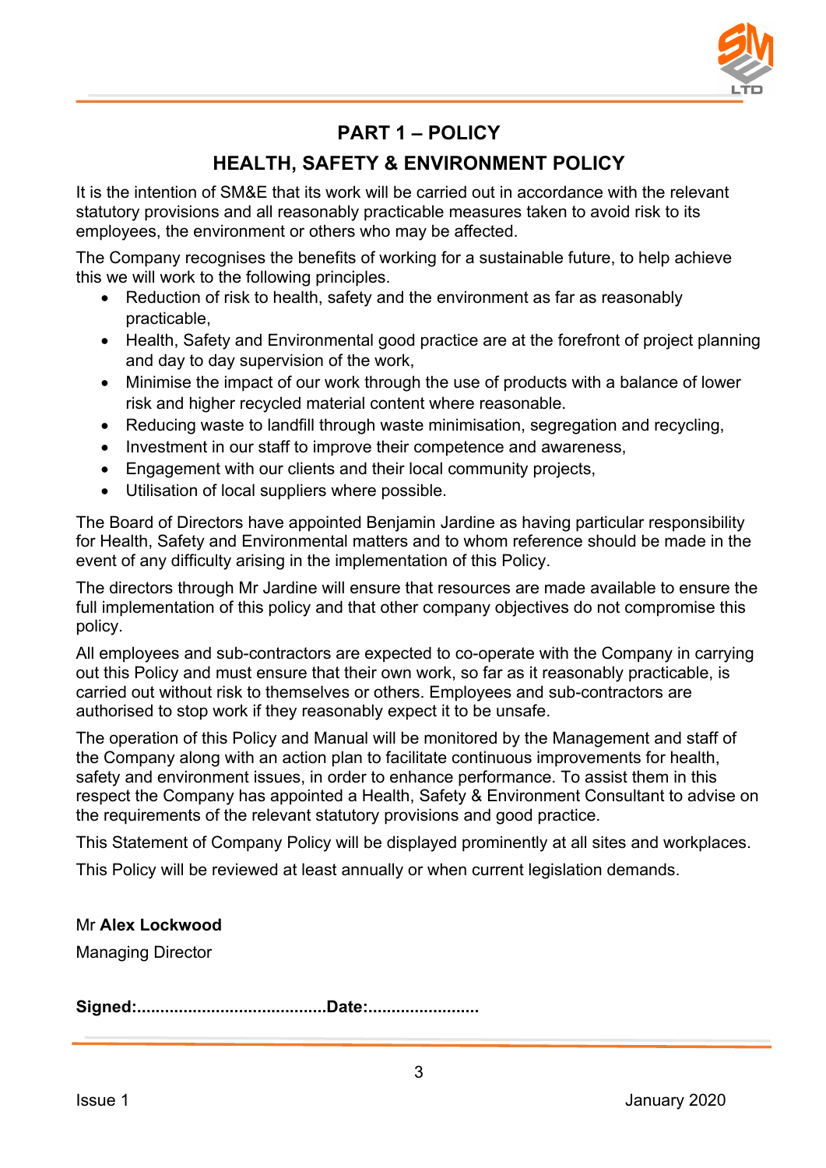

# **PART 1 – POLICY**

## **HEALTH, SAFETY & ENVIRONMENT POLICY**

It is the intention of SM&E that its work will be carried out in accordance with the relevant statutory provisions and all reasonably practicable measures taken to avoid risk to its employees, the environment or others who may be affected.

The Company recognises the benefits of working for a sustainable future, to help achieve this we will work to the following principles.

- Reduction of risk to health, safety and the environment as far as reasonably practicable,
- Health, Safety and Environmental good practice are at the forefront of project planning and day to day supervision of the work,
- Minimise the impact of our work through the use of products with a balance of lower risk and higher recycled material content where reasonable.
- Reducing waste to landfill through waste minimisation, segregation and recycling,
- Investment in our staff to improve their competence and awareness,
- Engagement with our clients and their local community projects,
- Utilisation of local suppliers where possible.

The Board of Directors have appointed Benjamin Jardine as having particular responsibility for Health, Safety and Environmental matters and to whom reference should be made in the event of any difficulty arising in the implementation of this Policy.

The directors through Mr Jardine will ensure that resources are made available to ensure the full implementation of this policy and that other company objectives do not compromise this policy.

All employees and sub-contractors are expected to co-operate with the Company in carrying out this Policy and must ensure that their own work, so far as it reasonably practicable, is carried out without risk to themselves or others. Employees and sub-contractors are authorised to stop work if they reasonably expect it to be unsafe.

The operation of this Policy and Manual will be monitored by the Management and staff of the Company along with an action plan to facilitate continuous improvements for health, safety and environment issues, in order to enhance performance. To assist them in this respect the Company has appointed a Health, Safety & Environment Consultant to advise on the requirements of the relevant statutory provisions and good practice.

This Statement of Company Policy will be displayed prominently at all sites and workplaces.

This Policy will be reviewed at least annually or when current legislation demands.

### Mr **Alex Lockwood**

Managing Director

**Signed:.........................................Date:........................**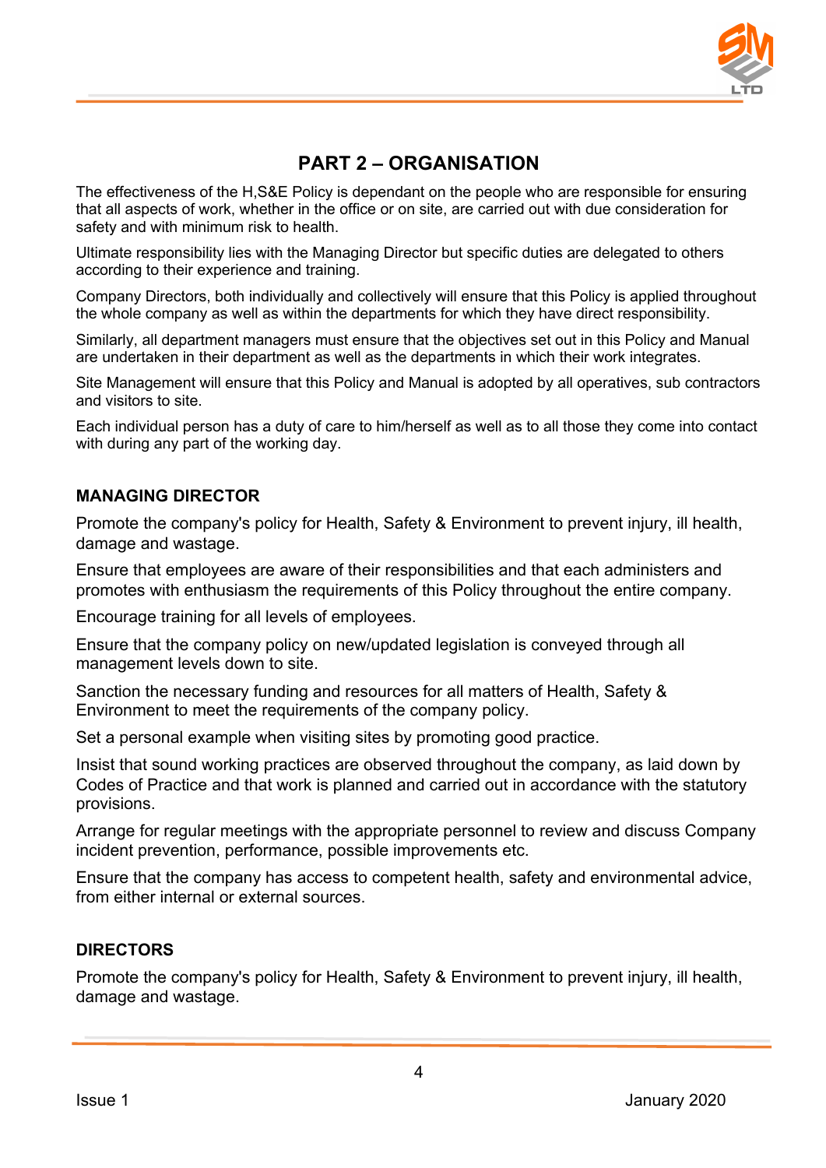

# **PART 2 – ORGANISATION**

The effectiveness of the H,S&E Policy is dependant on the people who are responsible for ensuring that all aspects of work, whether in the office or on site, are carried out with due consideration for safety and with minimum risk to health.

Ultimate responsibility lies with the Managing Director but specific duties are delegated to others according to their experience and training.

Company Directors, both individually and collectively will ensure that this Policy is applied throughout the whole company as well as within the departments for which they have direct responsibility.

Similarly, all department managers must ensure that the objectives set out in this Policy and Manual are undertaken in their department as well as the departments in which their work integrates.

Site Management will ensure that this Policy and Manual is adopted by all operatives, sub contractors and visitors to site.

Each individual person has a duty of care to him/herself as well as to all those they come into contact with during any part of the working day.

#### **MANAGING DIRECTOR**

Promote the company's policy for Health, Safety & Environment to prevent injury, ill health, damage and wastage.

Ensure that employees are aware of their responsibilities and that each administers and promotes with enthusiasm the requirements of this Policy throughout the entire company.

Encourage training for all levels of employees.

Ensure that the company policy on new/updated legislation is conveyed through all management levels down to site.

Sanction the necessary funding and resources for all matters of Health, Safety & Environment to meet the requirements of the company policy.

Set a personal example when visiting sites by promoting good practice.

Insist that sound working practices are observed throughout the company, as laid down by Codes of Practice and that work is planned and carried out in accordance with the statutory provisions.

Arrange for regular meetings with the appropriate personnel to review and discuss Company incident prevention, performance, possible improvements etc.

Ensure that the company has access to competent health, safety and environmental advice, from either internal or external sources.

#### **DIRECTORS**

Promote the company's policy for Health, Safety & Environment to prevent injury, ill health, damage and wastage.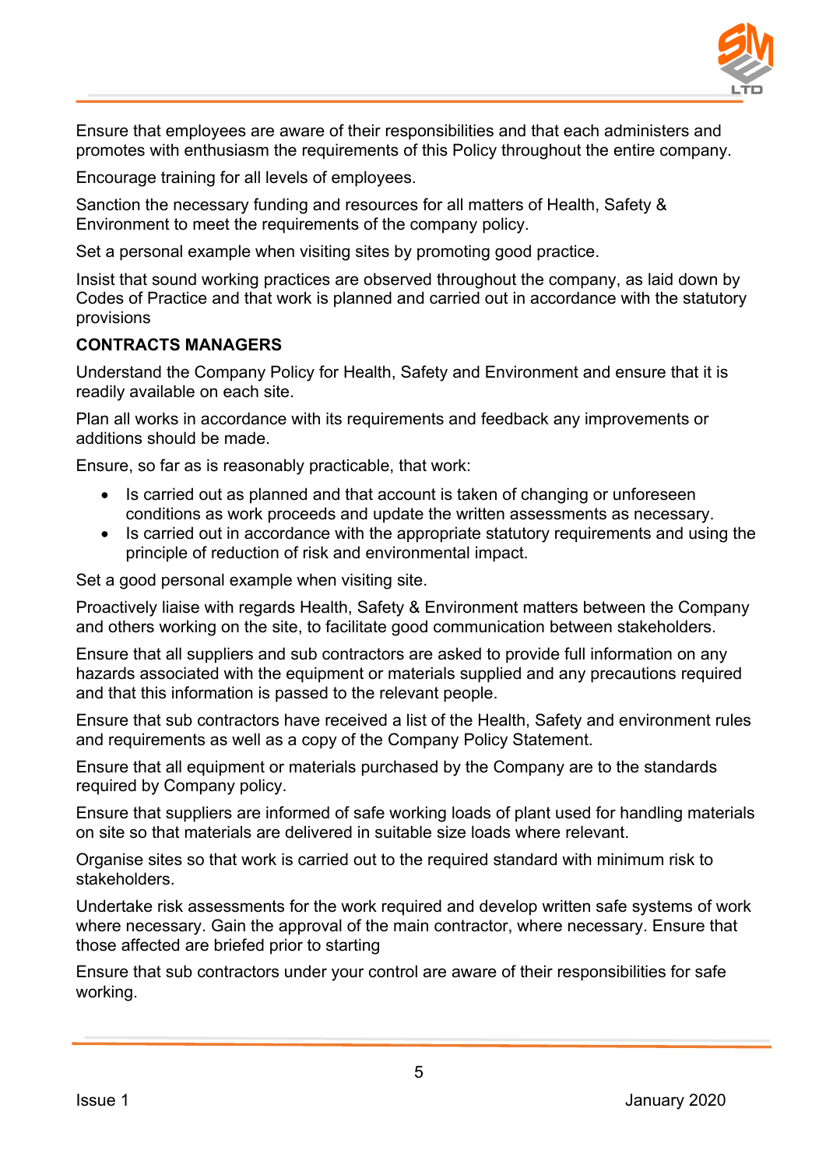

Ensure that employees are aware of their responsibilities and that each administers and promotes with enthusiasm the requirements of this Policy throughout the entire company.

Encourage training for all levels of employees.

Sanction the necessary funding and resources for all matters of Health, Safety & Environment to meet the requirements of the company policy.

Set a personal example when visiting sites by promoting good practice.

Insist that sound working practices are observed throughout the company, as laid down by Codes of Practice and that work is planned and carried out in accordance with the statutory provisions

#### **CONTRACTS MANAGERS**

Understand the Company Policy for Health, Safety and Environment and ensure that it is readily available on each site.

Plan all works in accordance with its requirements and feedback any improvements or additions should be made.

Ensure, so far as is reasonably practicable, that work:

- Is carried out as planned and that account is taken of changing or unforeseen conditions as work proceeds and update the written assessments as necessary.
- Is carried out in accordance with the appropriate statutory requirements and using the principle of reduction of risk and environmental impact.

Set a good personal example when visiting site.

Proactively liaise with regards Health, Safety & Environment matters between the Company and others working on the site, to facilitate good communication between stakeholders.

Ensure that all suppliers and sub contractors are asked to provide full information on any hazards associated with the equipment or materials supplied and any precautions required and that this information is passed to the relevant people.

Ensure that sub contractors have received a list of the Health, Safety and environment rules and requirements as well as a copy of the Company Policy Statement.

Ensure that all equipment or materials purchased by the Company are to the standards required by Company policy.

Ensure that suppliers are informed of safe working loads of plant used for handling materials on site so that materials are delivered in suitable size loads where relevant.

Organise sites so that work is carried out to the required standard with minimum risk to stakeholders.

Undertake risk assessments for the work required and develop written safe systems of work where necessary. Gain the approval of the main contractor, where necessary. Ensure that those affected are briefed prior to starting

Ensure that sub contractors under your control are aware of their responsibilities for safe working.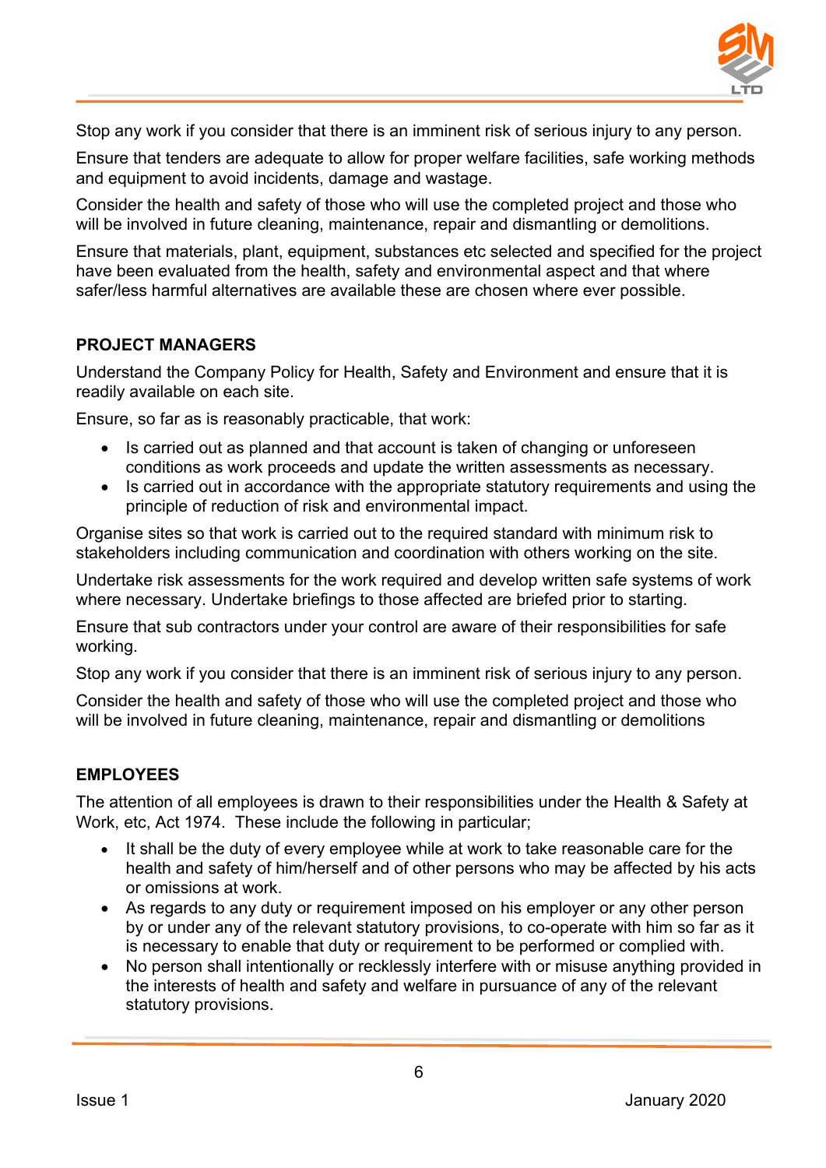

Stop any work if you consider that there is an imminent risk of serious injury to any person.

Ensure that tenders are adequate to allow for proper welfare facilities, safe working methods and equipment to avoid incidents, damage and wastage.

Consider the health and safety of those who will use the completed project and those who will be involved in future cleaning, maintenance, repair and dismantling or demolitions.

Ensure that materials, plant, equipment, substances etc selected and specified for the project have been evaluated from the health, safety and environmental aspect and that where safer/less harmful alternatives are available these are chosen where ever possible.

## **PROJECT MANAGERS**

Understand the Company Policy for Health, Safety and Environment and ensure that it is readily available on each site.

Ensure, so far as is reasonably practicable, that work:

- Is carried out as planned and that account is taken of changing or unforeseen conditions as work proceeds and update the written assessments as necessary.
- Is carried out in accordance with the appropriate statutory requirements and using the principle of reduction of risk and environmental impact.

Organise sites so that work is carried out to the required standard with minimum risk to stakeholders including communication and coordination with others working on the site.

Undertake risk assessments for the work required and develop written safe systems of work where necessary. Undertake briefings to those affected are briefed prior to starting.

Ensure that sub contractors under your control are aware of their responsibilities for safe working.

Stop any work if you consider that there is an imminent risk of serious injury to any person.

Consider the health and safety of those who will use the completed project and those who will be involved in future cleaning, maintenance, repair and dismantling or demolitions

## **EMPLOYEES**

The attention of all employees is drawn to their responsibilities under the Health & Safety at Work, etc, Act 1974. These include the following in particular;

- It shall be the duty of every employee while at work to take reasonable care for the health and safety of him/herself and of other persons who may be affected by his acts or omissions at work.
- As regards to any duty or requirement imposed on his employer or any other person by or under any of the relevant statutory provisions, to co-operate with him so far as it is necessary to enable that duty or requirement to be performed or complied with.
- No person shall intentionally or recklessly interfere with or misuse anything provided in the interests of health and safety and welfare in pursuance of any of the relevant statutory provisions.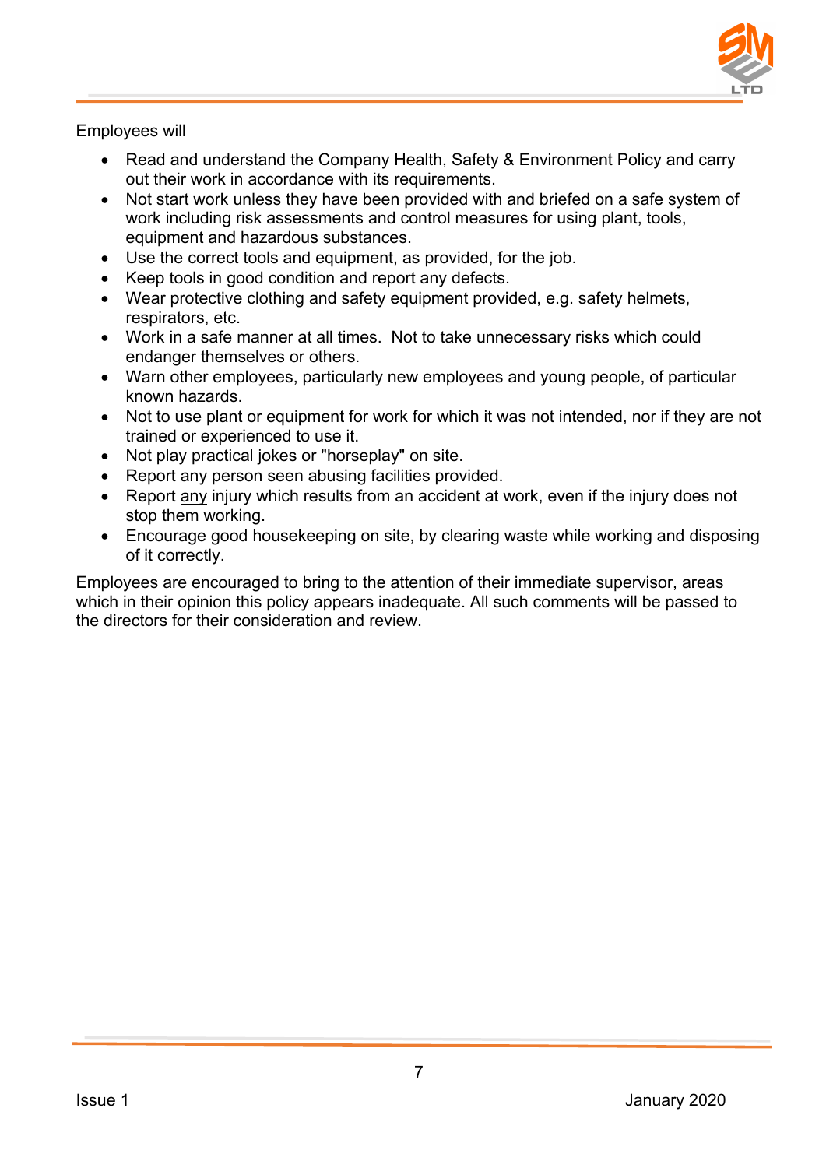

#### Employees will

- Read and understand the Company Health, Safety & Environment Policy and carry out their work in accordance with its requirements.
- Not start work unless they have been provided with and briefed on a safe system of work including risk assessments and control measures for using plant, tools, equipment and hazardous substances.
- Use the correct tools and equipment, as provided, for the job.
- Keep tools in good condition and report any defects.
- Wear protective clothing and safety equipment provided, e.g. safety helmets, respirators, etc.
- Work in a safe manner at all times. Not to take unnecessary risks which could endanger themselves or others.
- Warn other employees, particularly new employees and young people, of particular known hazards.
- Not to use plant or equipment for work for which it was not intended, nor if they are not trained or experienced to use it.
- Not play practical jokes or "horseplay" on site.
- Report any person seen abusing facilities provided.
- Report any injury which results from an accident at work, even if the injury does not stop them working.
- Encourage good housekeeping on site, by clearing waste while working and disposing of it correctly.

Employees are encouraged to bring to the attention of their immediate supervisor, areas which in their opinion this policy appears inadequate. All such comments will be passed to the directors for their consideration and review.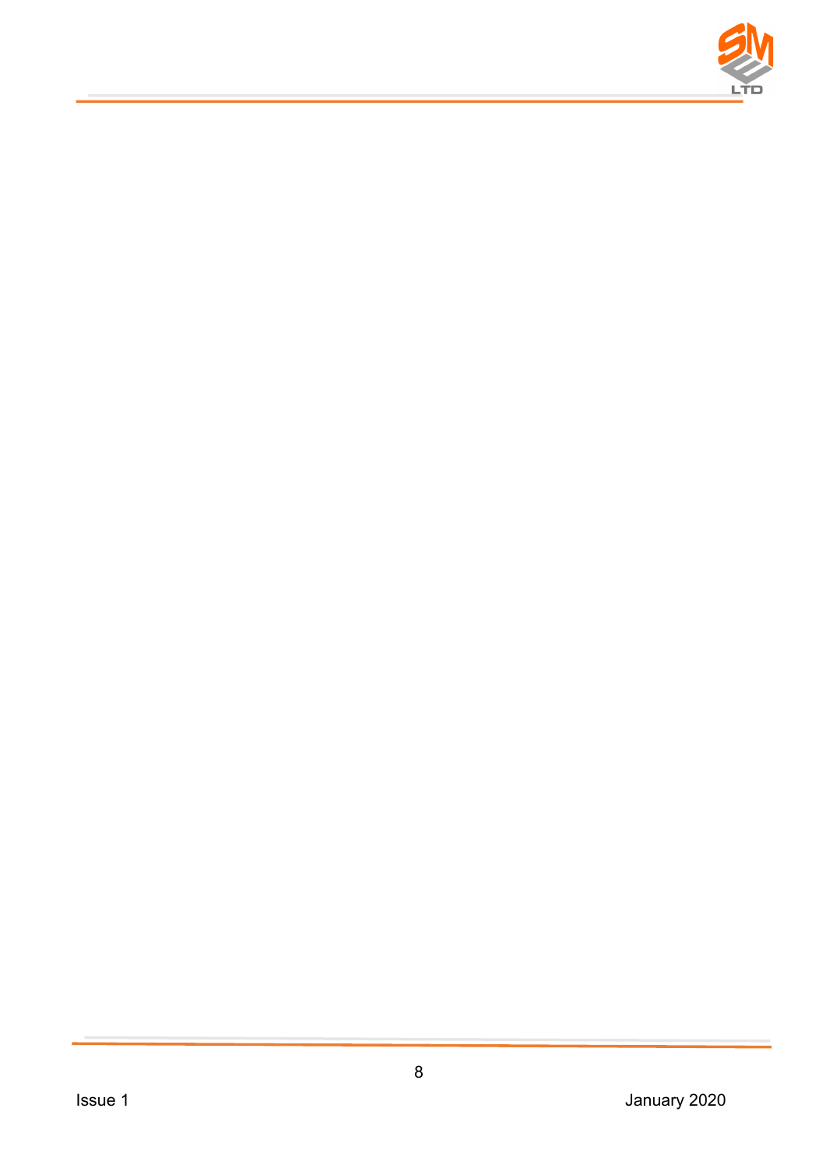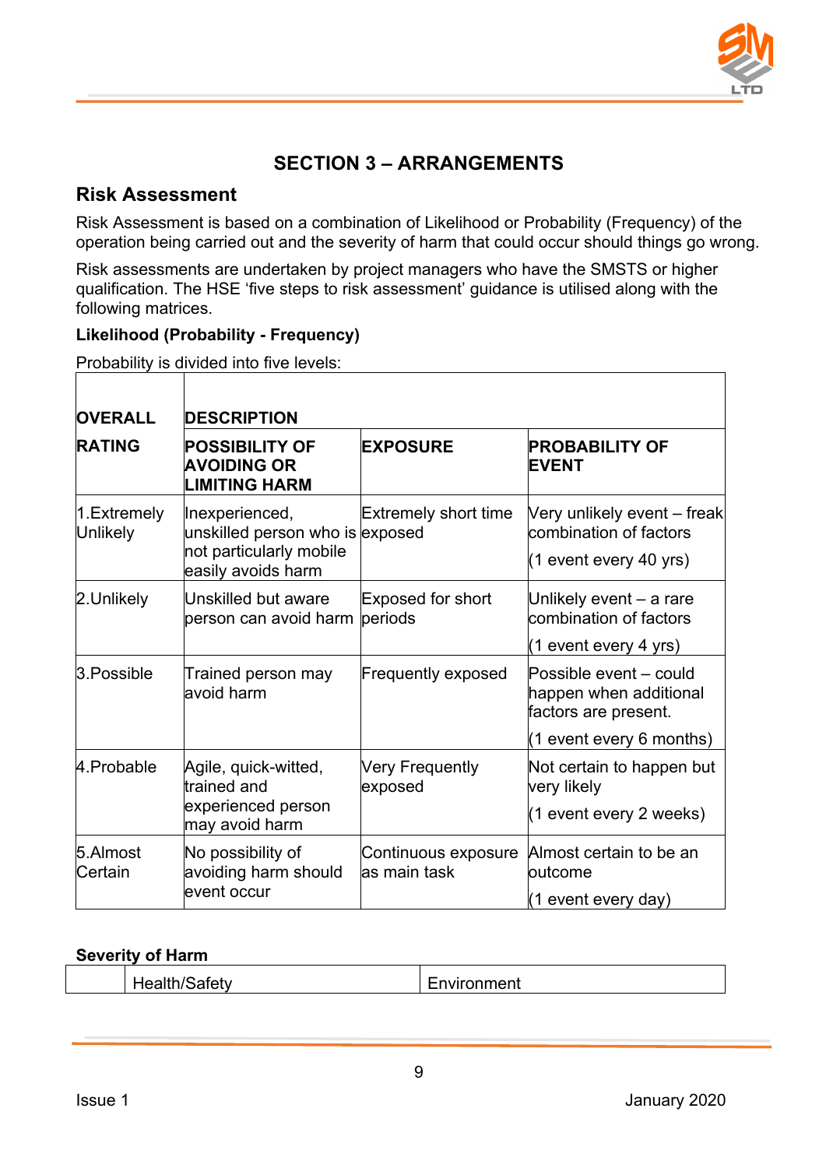

## **SECTION 3 – ARRANGEMENTS**

## **Risk Assessment**

Risk Assessment is based on a combination of Likelihood or Probability (Frequency) of the operation being carried out and the severity of harm that could occur should things go wrong.

Risk assessments are undertaken by project managers who have the SMSTS or higher qualification. The HSE 'five steps to risk assessment' guidance is utilised along with the following matrices.

### **Likelihood (Probability - Frequency)**

Probability is divided into five levels:

| <b>OVERALL</b>                 | <b>DESCRIPTION</b>                                                                                 |                                      |                                                                                                      |
|--------------------------------|----------------------------------------------------------------------------------------------------|--------------------------------------|------------------------------------------------------------------------------------------------------|
| <b>RATING</b>                  | <b>POSSIBILITY OF</b><br><b>AVOIDING OR</b><br><b>LIMITING HARM</b>                                | <b>EXPOSURE</b>                      | <b>PROBABILITY OF</b><br><b>EVENT</b>                                                                |
| 1.Extremely<br><b>Unlikely</b> | Inexperienced,<br>unskilled person who is exposed<br>not particularly mobile<br>easily avoids harm | <b>Extremely short time</b>          | Very unlikely event – freak<br>combination of factors<br>(1 event every 40 yrs)                      |
| 2.Unlikely                     | Unskilled but aware<br>person can avoid harm periods                                               | Exposed for short                    | Unlikely event - a rare<br>combination of factors<br>(1 event every 4 yrs)                           |
| 3.Possible                     | Trained person may<br>avoid harm                                                                   | <b>Frequently exposed</b>            | Possible event - could<br>happen when additional<br>factors are present.<br>(1 event every 6 months) |
| 4.Probable                     | Agile, quick-witted,<br>trained and<br>experienced person<br>may avoid harm                        | Very Frequently<br>exposed           | Not certain to happen but<br>very likely<br>(1 event every 2 weeks)                                  |
| 5.Almost<br>Certain            | No possibility of<br>avoiding harm should<br>event occur                                           | Continuous exposure<br>las main task | Almost certain to be an<br>loutcome<br>(1 event every day)                                           |

### **Severity of Harm**

Health/Safety **Environment**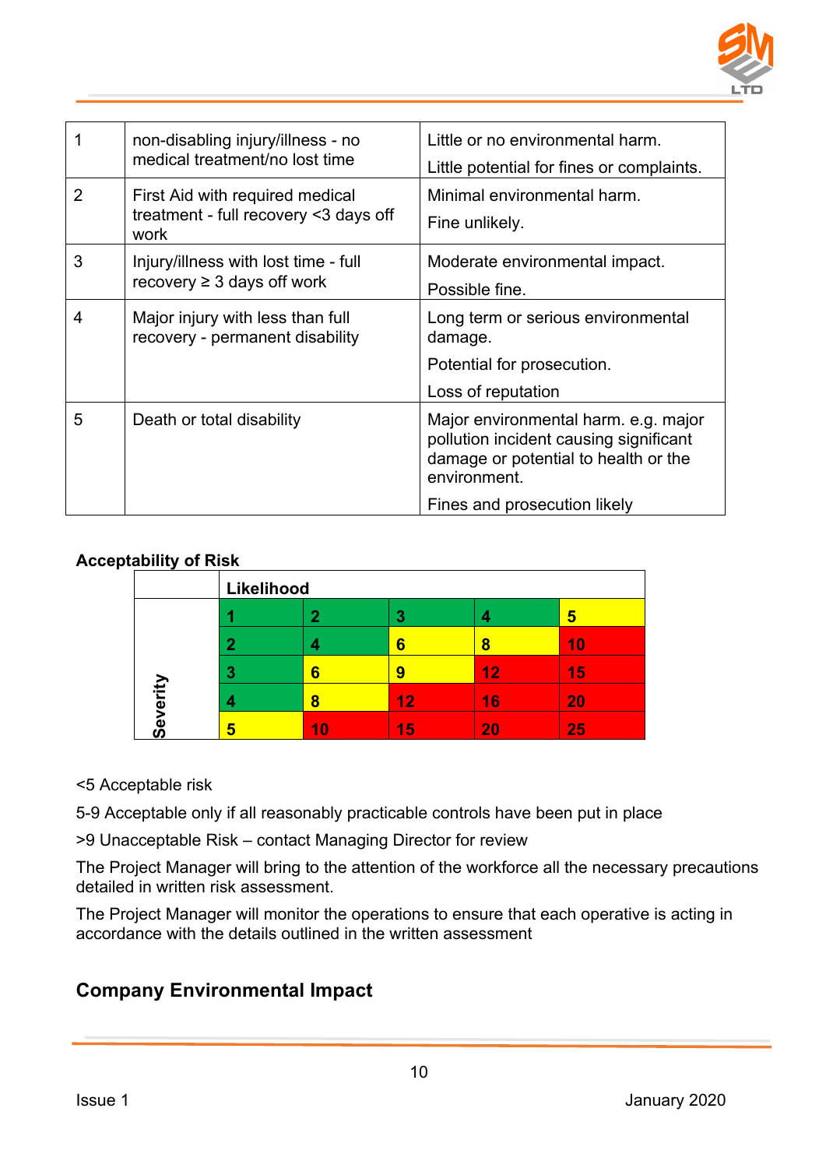

| 1              | non-disabling injury/illness - no<br>medical treatment/no lost time              | Little or no environmental harm.<br>Little potential for fines or complaints.                                                          |  |
|----------------|----------------------------------------------------------------------------------|----------------------------------------------------------------------------------------------------------------------------------------|--|
| $\overline{2}$ | First Aid with required medical<br>treatment - full recovery <3 days off<br>work | Minimal environmental harm.<br>Fine unlikely.                                                                                          |  |
| 3              | Injury/illness with lost time - full<br>recovery $\geq$ 3 days off work          | Moderate environmental impact.<br>Possible fine.                                                                                       |  |
| 4              | Major injury with less than full<br>recovery - permanent disability              | Long term or serious environmental<br>damage.<br>Potential for prosecution.                                                            |  |
|                |                                                                                  | Loss of reputation                                                                                                                     |  |
| 5              | Death or total disability                                                        | Major environmental harm. e.g. major<br>pollution incident causing significant<br>damage or potential to health or the<br>environment. |  |
|                |                                                                                  | Fines and prosecution likely                                                                                                           |  |

### **Acceptability of Risk**

| -       | Likelihood |                         |    |    |    |
|---------|------------|-------------------------|----|----|----|
|         |            |                         | 3  |    | 5  |
|         |            |                         | 6  | 8  | 10 |
|         | В          | $6\phantom{1}6$         | 9  | 12 | 15 |
| everity | 4          | $\overline{\mathbf{8}}$ | 12 | 16 | 20 |
| ดั      | 5          | <b>TA</b>               | 15 | 20 | 25 |

### <5 Acceptable risk

5-9 Acceptable only if all reasonably practicable controls have been put in place

>9 Unacceptable Risk – contact Managing Director for review

The Project Manager will bring to the attention of the workforce all the necessary precautions detailed in written risk assessment.

The Project Manager will monitor the operations to ensure that each operative is acting in accordance with the details outlined in the written assessment

## **Company Environmental Impact**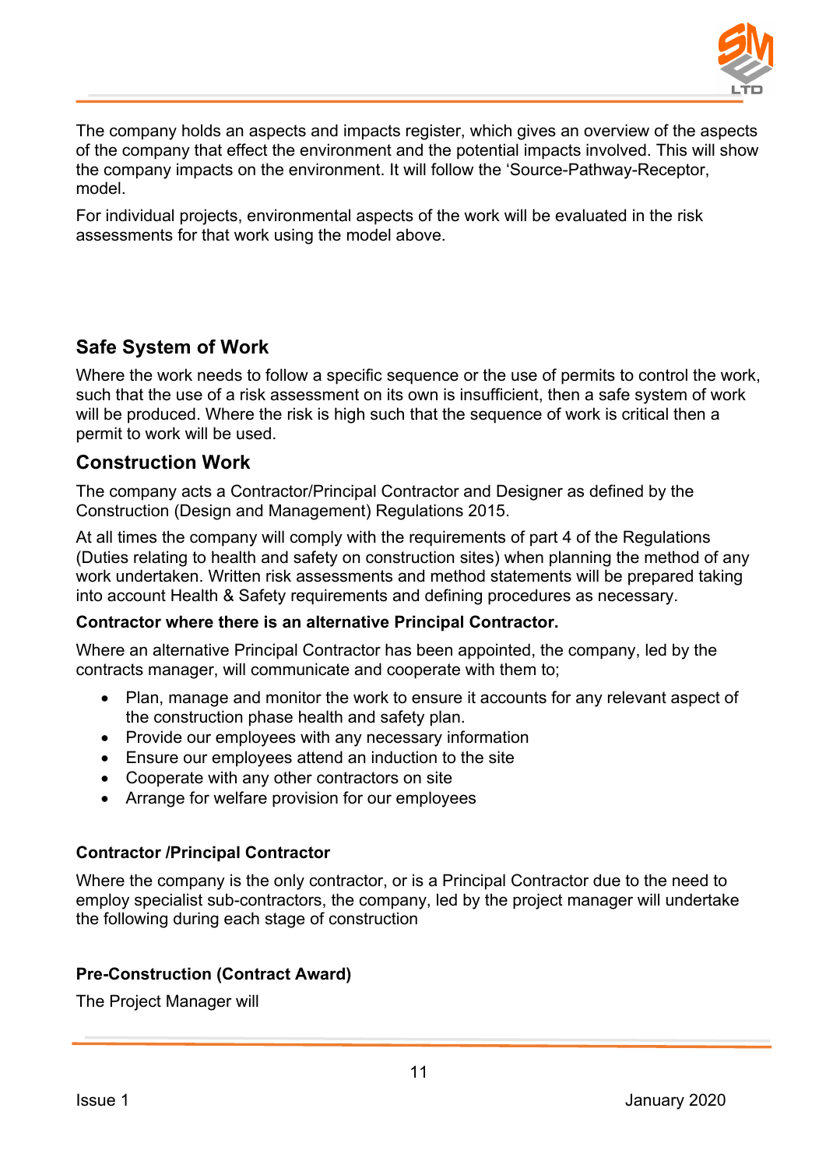

The company holds an aspects and impacts register, which gives an overview of the aspects of the company that effect the environment and the potential impacts involved. This will show the company impacts on the environment. It will follow the 'Source-Pathway-Receptor, model.

For individual projects, environmental aspects of the work will be evaluated in the risk assessments for that work using the model above.

## **Safe System of Work**

Where the work needs to follow a specific sequence or the use of permits to control the work, such that the use of a risk assessment on its own is insufficient, then a safe system of work will be produced. Where the risk is high such that the sequence of work is critical then a permit to work will be used.

## **Construction Work**

The company acts a Contractor/Principal Contractor and Designer as defined by the Construction (Design and Management) Regulations 2015.

At all times the company will comply with the requirements of part 4 of the Regulations (Duties relating to health and safety on construction sites) when planning the method of any work undertaken. Written risk assessments and method statements will be prepared taking into account Health & Safety requirements and defining procedures as necessary.

### **Contractor where there is an alternative Principal Contractor.**

Where an alternative Principal Contractor has been appointed, the company, led by the contracts manager, will communicate and cooperate with them to;

- Plan, manage and monitor the work to ensure it accounts for any relevant aspect of the construction phase health and safety plan.
- Provide our employees with any necessary information
- Ensure our employees attend an induction to the site
- Cooperate with any other contractors on site
- Arrange for welfare provision for our employees

## **Contractor /Principal Contractor**

Where the company is the only contractor, or is a Principal Contractor due to the need to employ specialist sub-contractors, the company, led by the project manager will undertake the following during each stage of construction

## **Pre-Construction (Contract Award)**

The Project Manager will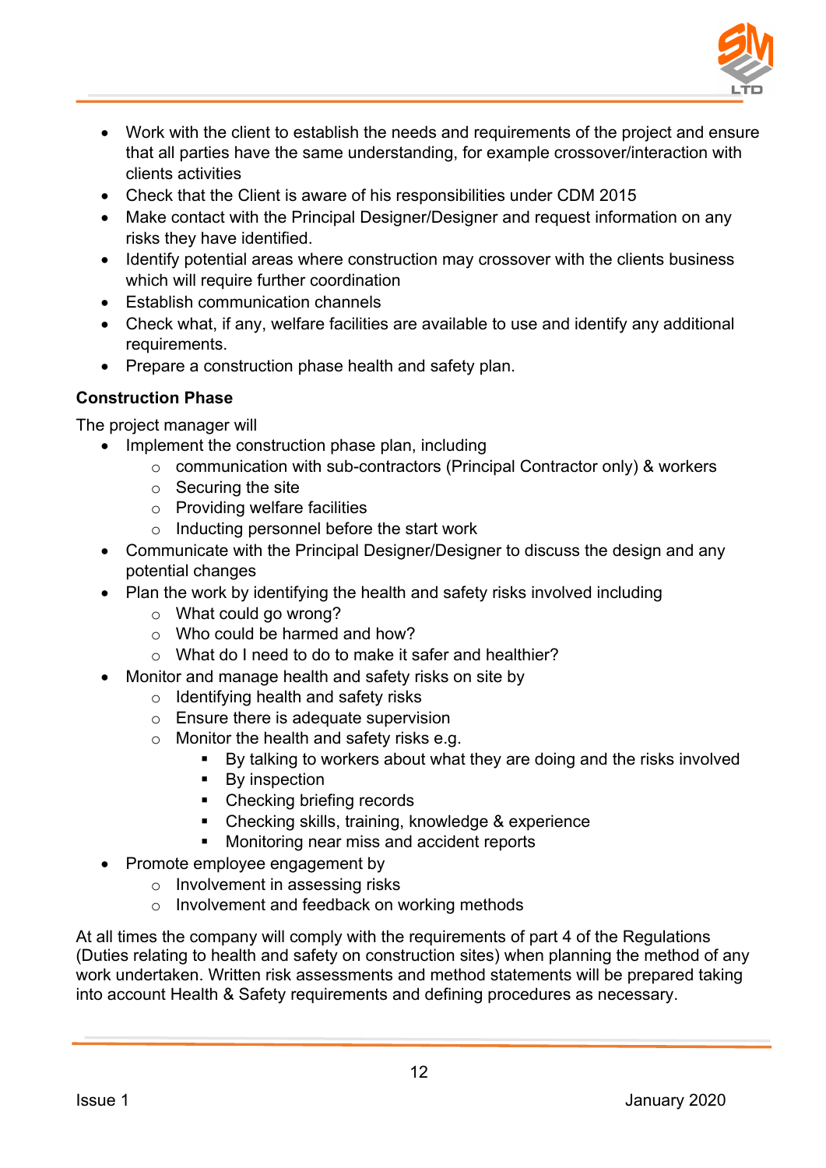

- Work with the client to establish the needs and requirements of the project and ensure that all parties have the same understanding, for example crossover/interaction with clients activities
- Check that the Client is aware of his responsibilities under CDM 2015
- Make contact with the Principal Designer/Designer and request information on any risks they have identified.
- Identify potential areas where construction may crossover with the clients business which will require further coordination
- Establish communication channels
- Check what, if any, welfare facilities are available to use and identify any additional requirements.
- Prepare a construction phase health and safety plan.

## **Construction Phase**

The project manager will

- Implement the construction phase plan, including
	- o communication with sub-contractors (Principal Contractor only) & workers
	- $\circ$  Securing the site
	- o Providing welfare facilities
	- o Inducting personnel before the start work
- Communicate with the Principal Designer/Designer to discuss the design and any potential changes
- Plan the work by identifying the health and safety risks involved including
	- o What could go wrong?
	- $\circ$  Who could be harmed and how?
	- o What do I need to do to make it safer and healthier?
	- Monitor and manage health and safety risks on site by
		- o Identifying health and safety risks
		- o Ensure there is adequate supervision
		- o Monitor the health and safety risks e.g.
			- By talking to workers about what they are doing and the risks involved
			- By inspection
			- Checking briefing records
			- Checking skills, training, knowledge & experience
			- § Monitoring near miss and accident reports
- Promote employee engagement by
	- o Involvement in assessing risks
	- o Involvement and feedback on working methods

At all times the company will comply with the requirements of part 4 of the Regulations (Duties relating to health and safety on construction sites) when planning the method of any work undertaken. Written risk assessments and method statements will be prepared taking into account Health & Safety requirements and defining procedures as necessary.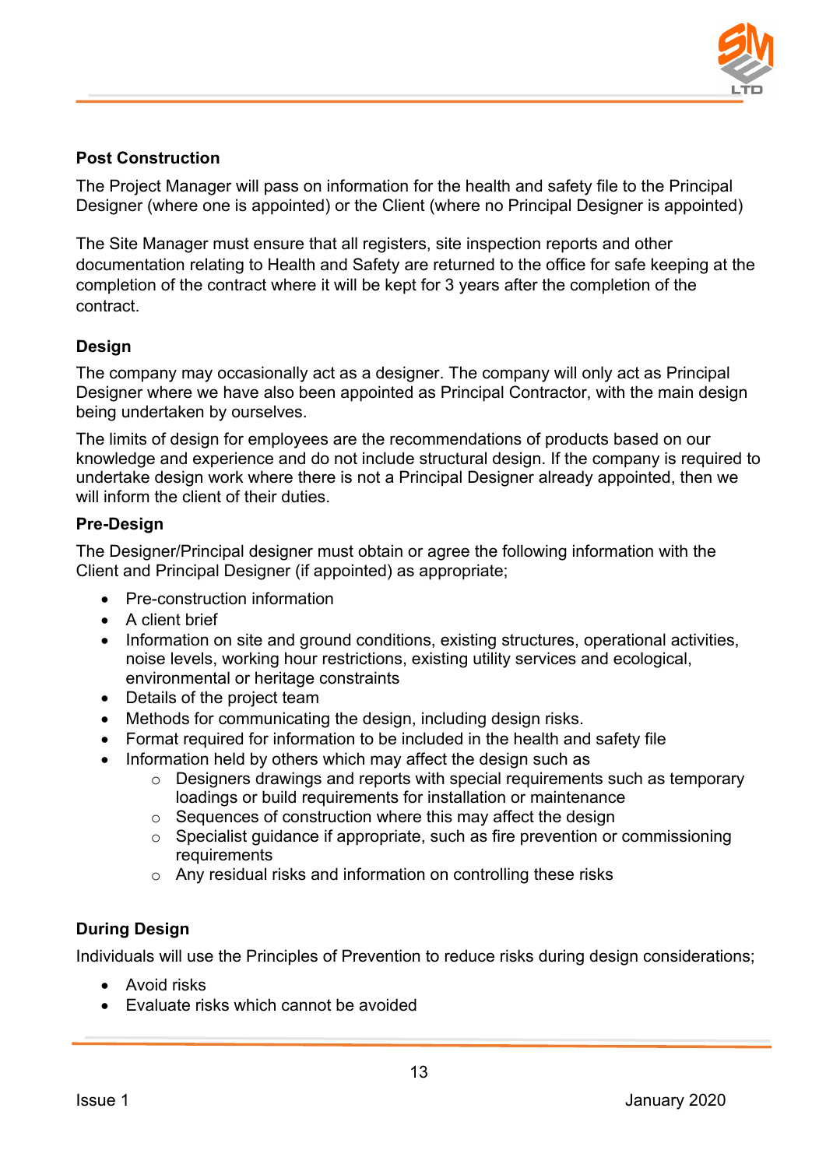

## **Post Construction**

The Project Manager will pass on information for the health and safety file to the Principal Designer (where one is appointed) or the Client (where no Principal Designer is appointed)

The Site Manager must ensure that all registers, site inspection reports and other documentation relating to Health and Safety are returned to the office for safe keeping at the completion of the contract where it will be kept for 3 years after the completion of the contract.

### **Design**

The company may occasionally act as a designer. The company will only act as Principal Designer where we have also been appointed as Principal Contractor, with the main design being undertaken by ourselves.

The limits of design for employees are the recommendations of products based on our knowledge and experience and do not include structural design. If the company is required to undertake design work where there is not a Principal Designer already appointed, then we will inform the client of their duties.

### **Pre-Design**

The Designer/Principal designer must obtain or agree the following information with the Client and Principal Designer (if appointed) as appropriate;

- Pre-construction information
- A client brief
- Information on site and ground conditions, existing structures, operational activities, noise levels, working hour restrictions, existing utility services and ecological, environmental or heritage constraints
- Details of the project team
- Methods for communicating the design, including design risks.
- Format required for information to be included in the health and safety file
- Information held by others which may affect the design such as
	- o Designers drawings and reports with special requirements such as temporary loadings or build requirements for installation or maintenance
	- o Sequences of construction where this may affect the design
	- o Specialist guidance if appropriate, such as fire prevention or commissioning requirements
	- o Any residual risks and information on controlling these risks

## **During Design**

Individuals will use the Principles of Prevention to reduce risks during design considerations;

- Avoid risks
- Evaluate risks which cannot be avoided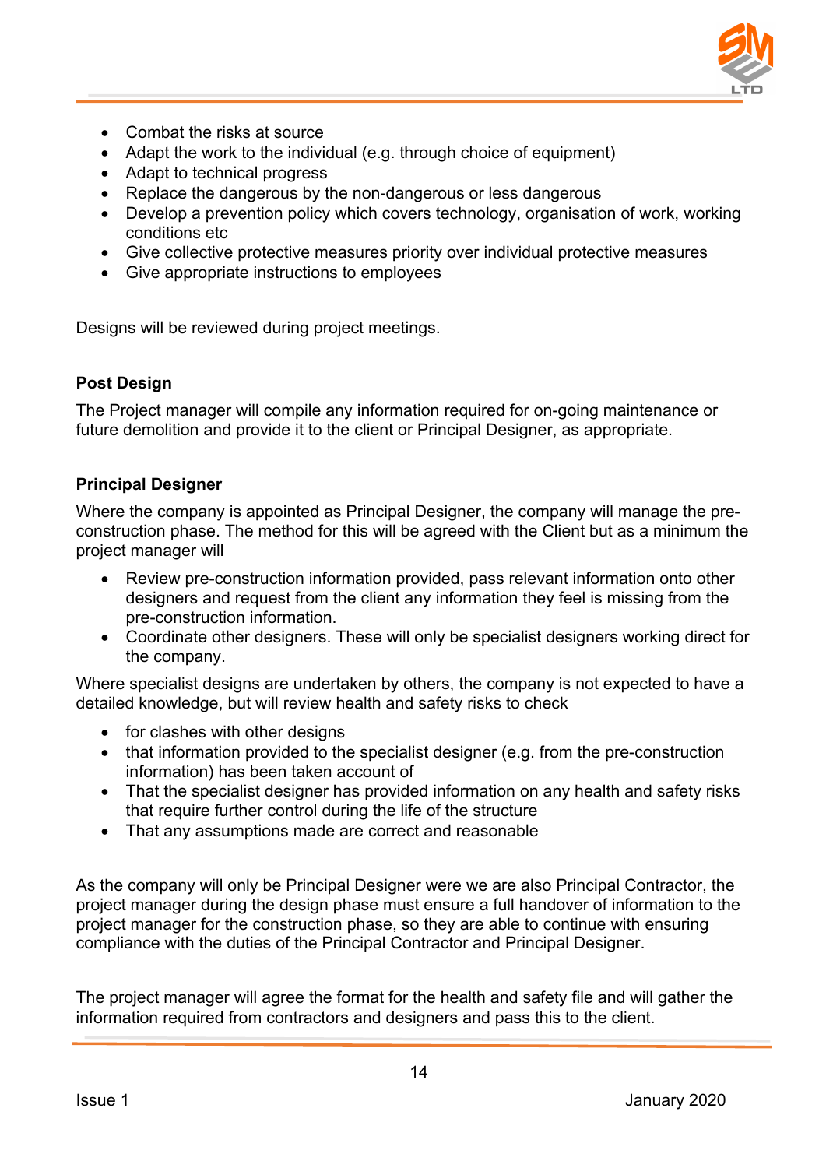

- Combat the risks at source
- Adapt the work to the individual (e.g. through choice of equipment)
- Adapt to technical progress
- Replace the dangerous by the non-dangerous or less dangerous
- Develop a prevention policy which covers technology, organisation of work, working conditions etc
- Give collective protective measures priority over individual protective measures
- Give appropriate instructions to employees

Designs will be reviewed during project meetings.

#### **Post Design**

The Project manager will compile any information required for on-going maintenance or future demolition and provide it to the client or Principal Designer, as appropriate.

#### **Principal Designer**

Where the company is appointed as Principal Designer, the company will manage the preconstruction phase. The method for this will be agreed with the Client but as a minimum the project manager will

- Review pre-construction information provided, pass relevant information onto other designers and request from the client any information they feel is missing from the pre-construction information.
- Coordinate other designers. These will only be specialist designers working direct for the company.

Where specialist designs are undertaken by others, the company is not expected to have a detailed knowledge, but will review health and safety risks to check

- for clashes with other designs
- that information provided to the specialist designer (e.g. from the pre-construction information) has been taken account of
- That the specialist designer has provided information on any health and safety risks that require further control during the life of the structure
- That any assumptions made are correct and reasonable

As the company will only be Principal Designer were we are also Principal Contractor, the project manager during the design phase must ensure a full handover of information to the project manager for the construction phase, so they are able to continue with ensuring compliance with the duties of the Principal Contractor and Principal Designer.

The project manager will agree the format for the health and safety file and will gather the information required from contractors and designers and pass this to the client.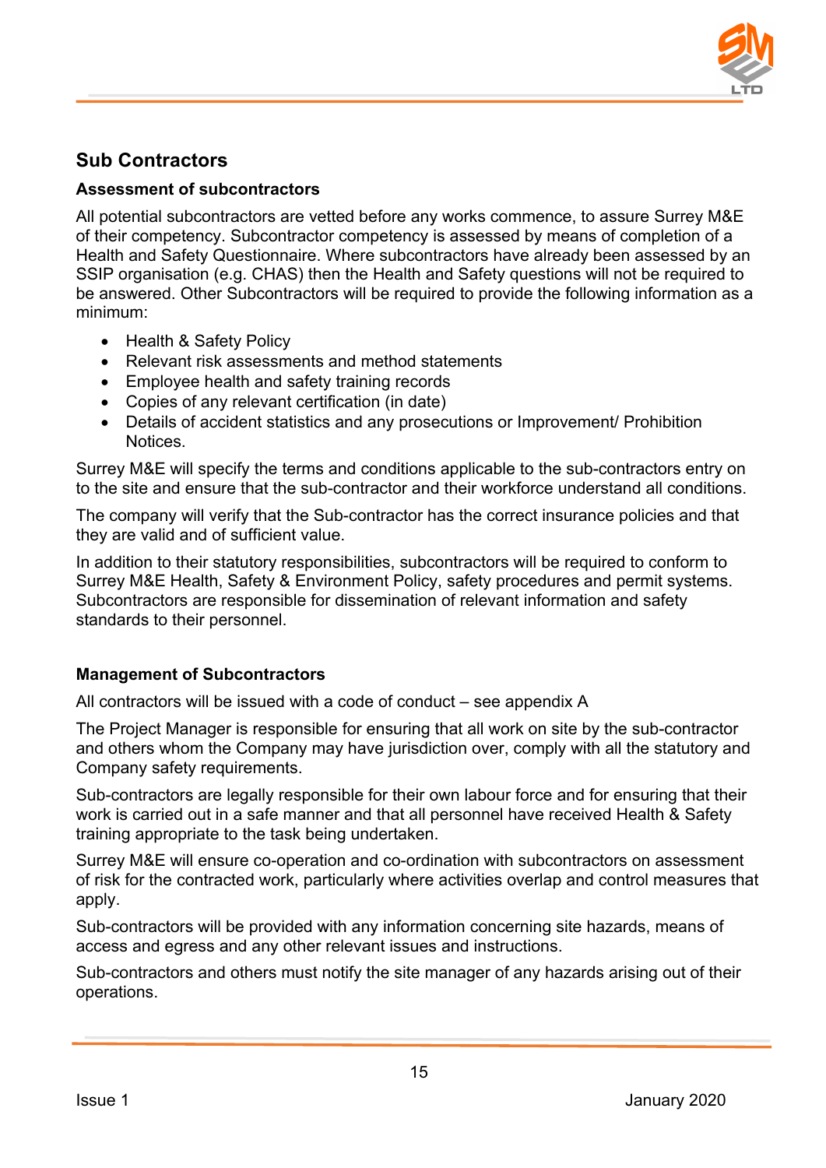

## **Sub Contractors**

### **Assessment of subcontractors**

All potential subcontractors are vetted before any works commence, to assure Surrey M&E of their competency. Subcontractor competency is assessed by means of completion of a Health and Safety Questionnaire. Where subcontractors have already been assessed by an SSIP organisation (e.g. CHAS) then the Health and Safety questions will not be required to be answered. Other Subcontractors will be required to provide the following information as a minimum:

- Health & Safety Policy
- Relevant risk assessments and method statements
- Employee health and safety training records
- Copies of any relevant certification (in date)
- Details of accident statistics and any prosecutions or Improvement/ Prohibition Notices.

Surrey M&E will specify the terms and conditions applicable to the sub-contractors entry on to the site and ensure that the sub-contractor and their workforce understand all conditions.

The company will verify that the Sub-contractor has the correct insurance policies and that they are valid and of sufficient value.

In addition to their statutory responsibilities, subcontractors will be required to conform to Surrey M&E Health, Safety & Environment Policy, safety procedures and permit systems. Subcontractors are responsible for dissemination of relevant information and safety standards to their personnel.

## **Management of Subcontractors**

All contractors will be issued with a code of conduct – see appendix A

The Project Manager is responsible for ensuring that all work on site by the sub-contractor and others whom the Company may have jurisdiction over, comply with all the statutory and Company safety requirements.

Sub-contractors are legally responsible for their own labour force and for ensuring that their work is carried out in a safe manner and that all personnel have received Health & Safety training appropriate to the task being undertaken.

Surrey M&E will ensure co-operation and co-ordination with subcontractors on assessment of risk for the contracted work, particularly where activities overlap and control measures that apply.

Sub-contractors will be provided with any information concerning site hazards, means of access and egress and any other relevant issues and instructions.

Sub-contractors and others must notify the site manager of any hazards arising out of their operations.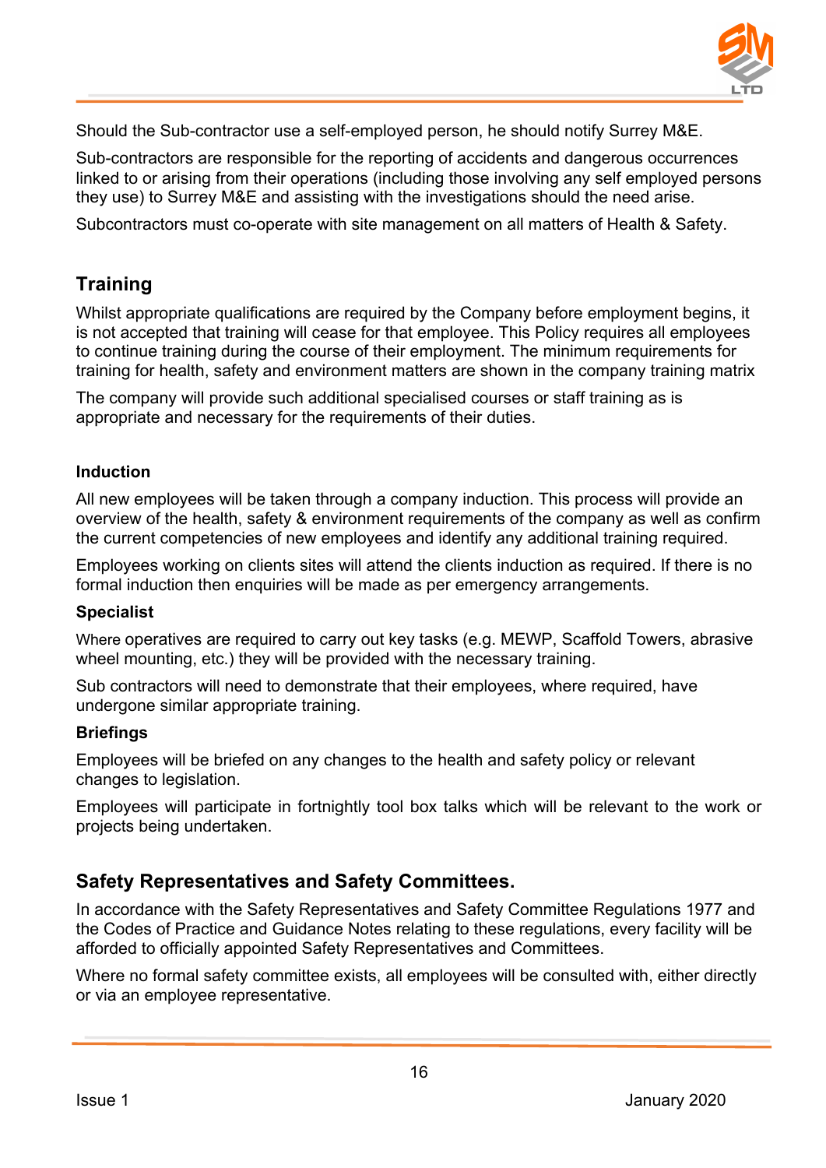

Should the Sub-contractor use a self-employed person, he should notify Surrey M&E.

Sub-contractors are responsible for the reporting of accidents and dangerous occurrences linked to or arising from their operations (including those involving any self employed persons they use) to Surrey M&E and assisting with the investigations should the need arise.

Subcontractors must co-operate with site management on all matters of Health & Safety.

## **Training**

Whilst appropriate qualifications are required by the Company before employment begins, it is not accepted that training will cease for that employee. This Policy requires all employees to continue training during the course of their employment. The minimum requirements for training for health, safety and environment matters are shown in the company training matrix

The company will provide such additional specialised courses or staff training as is appropriate and necessary for the requirements of their duties.

### **Induction**

All new employees will be taken through a company induction. This process will provide an overview of the health, safety & environment requirements of the company as well as confirm the current competencies of new employees and identify any additional training required.

Employees working on clients sites will attend the clients induction as required. If there is no formal induction then enquiries will be made as per emergency arrangements.

#### **Specialist**

Where operatives are required to carry out key tasks (e.g. MEWP, Scaffold Towers, abrasive wheel mounting, etc.) they will be provided with the necessary training.

Sub contractors will need to demonstrate that their employees, where required, have undergone similar appropriate training.

#### **Briefings**

Employees will be briefed on any changes to the health and safety policy or relevant changes to legislation.

Employees will participate in fortnightly tool box talks which will be relevant to the work or projects being undertaken.

## **Safety Representatives and Safety Committees.**

In accordance with the Safety Representatives and Safety Committee Regulations 1977 and the Codes of Practice and Guidance Notes relating to these regulations, every facility will be afforded to officially appointed Safety Representatives and Committees.

Where no formal safety committee exists, all employees will be consulted with, either directly or via an employee representative.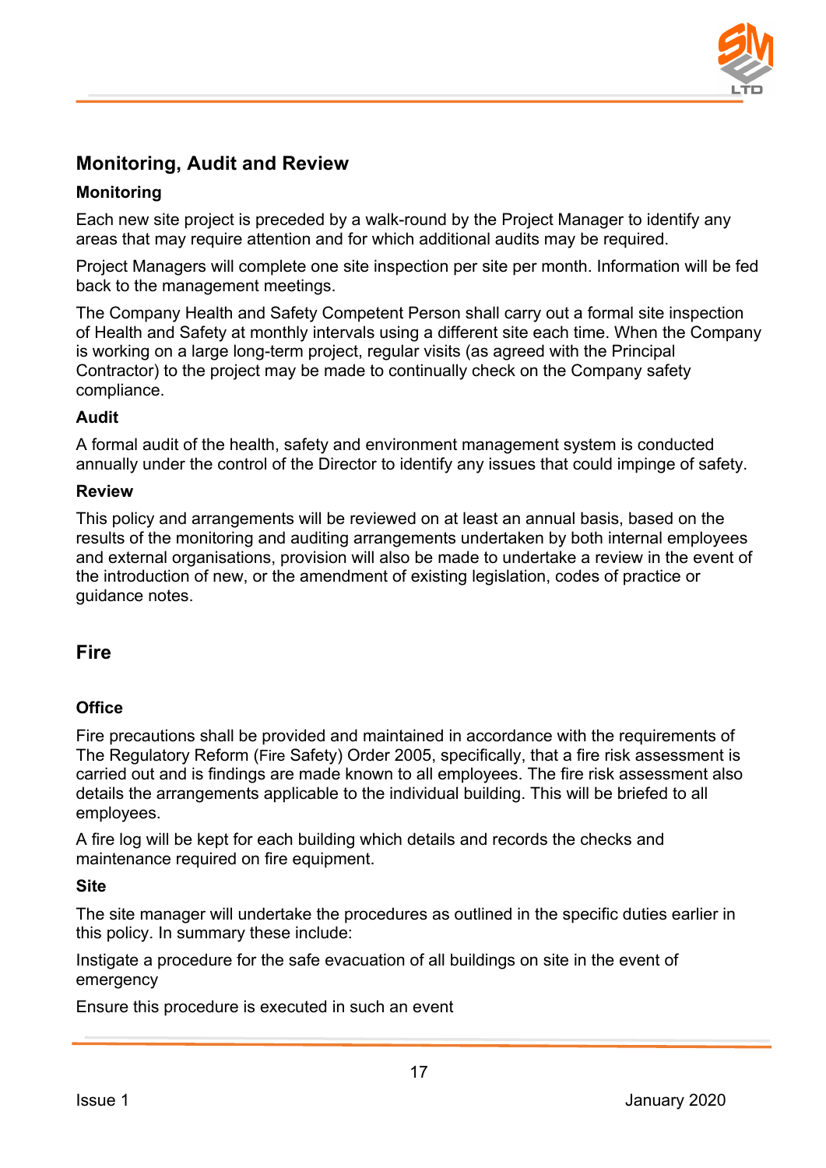

## **Monitoring, Audit and Review**

## **Monitoring**

Each new site project is preceded by a walk-round by the Project Manager to identify any areas that may require attention and for which additional audits may be required.

Project Managers will complete one site inspection per site per month. Information will be fed back to the management meetings.

The Company Health and Safety Competent Person shall carry out a formal site inspection of Health and Safety at monthly intervals using a different site each time. When the Company is working on a large long-term project, regular visits (as agreed with the Principal Contractor) to the project may be made to continually check on the Company safety compliance.

### **Audit**

A formal audit of the health, safety and environment management system is conducted annually under the control of the Director to identify any issues that could impinge of safety.

#### **Review**

This policy and arrangements will be reviewed on at least an annual basis, based on the results of the monitoring and auditing arrangements undertaken by both internal employees and external organisations, provision will also be made to undertake a review in the event of the introduction of new, or the amendment of existing legislation, codes of practice or guidance notes.

## **Fire**

### **Office**

Fire precautions shall be provided and maintained in accordance with the requirements of The Regulatory Reform (Fire Safety) Order 2005, specifically, that a fire risk assessment is carried out and is findings are made known to all employees. The fire risk assessment also details the arrangements applicable to the individual building. This will be briefed to all employees.

A fire log will be kept for each building which details and records the checks and maintenance required on fire equipment.

### **Site**

The site manager will undertake the procedures as outlined in the specific duties earlier in this policy. In summary these include:

Instigate a procedure for the safe evacuation of all buildings on site in the event of emergency

Ensure this procedure is executed in such an event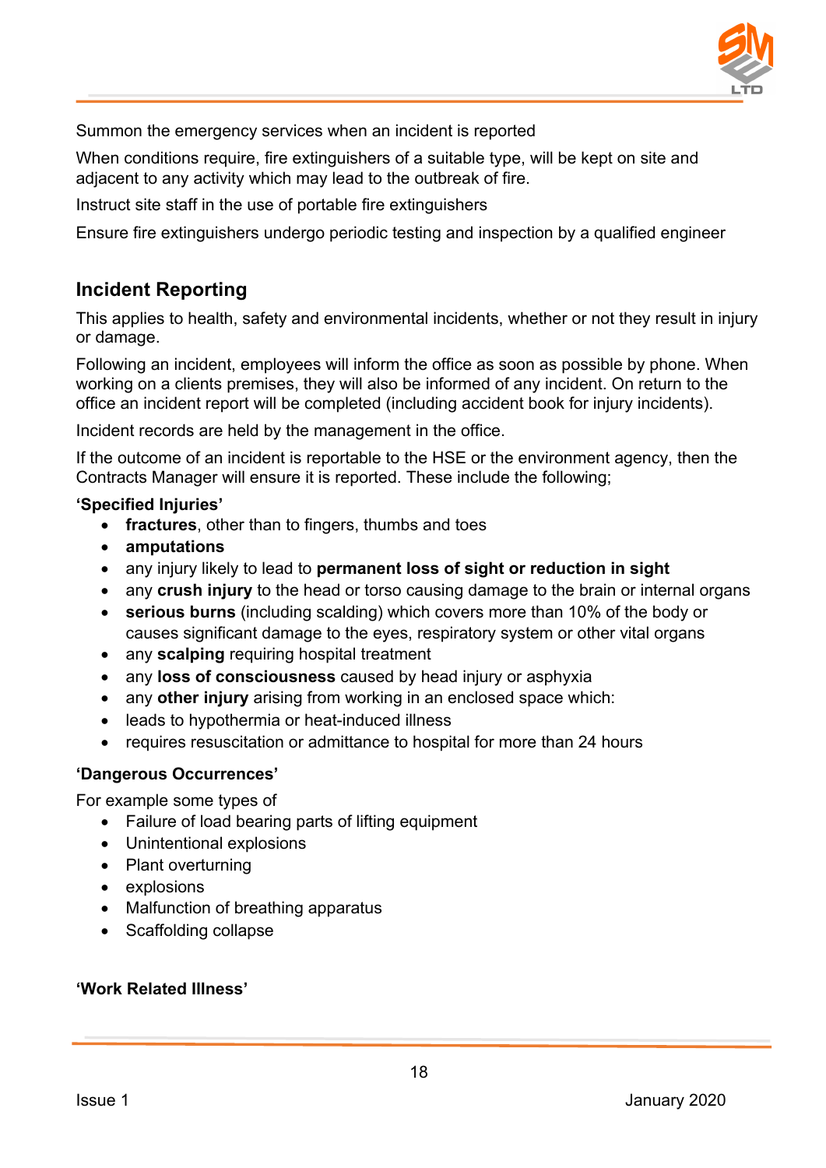

Summon the emergency services when an incident is reported

When conditions require, fire extinguishers of a suitable type, will be kept on site and adjacent to any activity which may lead to the outbreak of fire.

Instruct site staff in the use of portable fire extinguishers

Ensure fire extinguishers undergo periodic testing and inspection by a qualified engineer

## **Incident Reporting**

This applies to health, safety and environmental incidents, whether or not they result in injury or damage.

Following an incident, employees will inform the office as soon as possible by phone. When working on a clients premises, they will also be informed of any incident. On return to the office an incident report will be completed (including accident book for injury incidents).

Incident records are held by the management in the office.

If the outcome of an incident is reportable to the HSE or the environment agency, then the Contracts Manager will ensure it is reported. These include the following;

#### **'Specified Injuries'**

- **fractures**, other than to fingers, thumbs and toes
- **amputations**
- any injury likely to lead to **permanent loss of sight or reduction in sight**
- any **crush injury** to the head or torso causing damage to the brain or internal organs
- **serious burns** (including scalding) which covers more than 10% of the body or causes significant damage to the eyes, respiratory system or other vital organs
- any **scalping** requiring hospital treatment
- any **loss of consciousness** caused by head injury or asphyxia
- any **other injury** arising from working in an enclosed space which:
- leads to hypothermia or heat-induced illness
- requires resuscitation or admittance to hospital for more than 24 hours

#### **'Dangerous Occurrences'**

For example some types of

- Failure of load bearing parts of lifting equipment
- Unintentional explosions
- Plant overturning
- explosions
- Malfunction of breathing apparatus
- Scaffolding collapse

#### **'Work Related Illness'**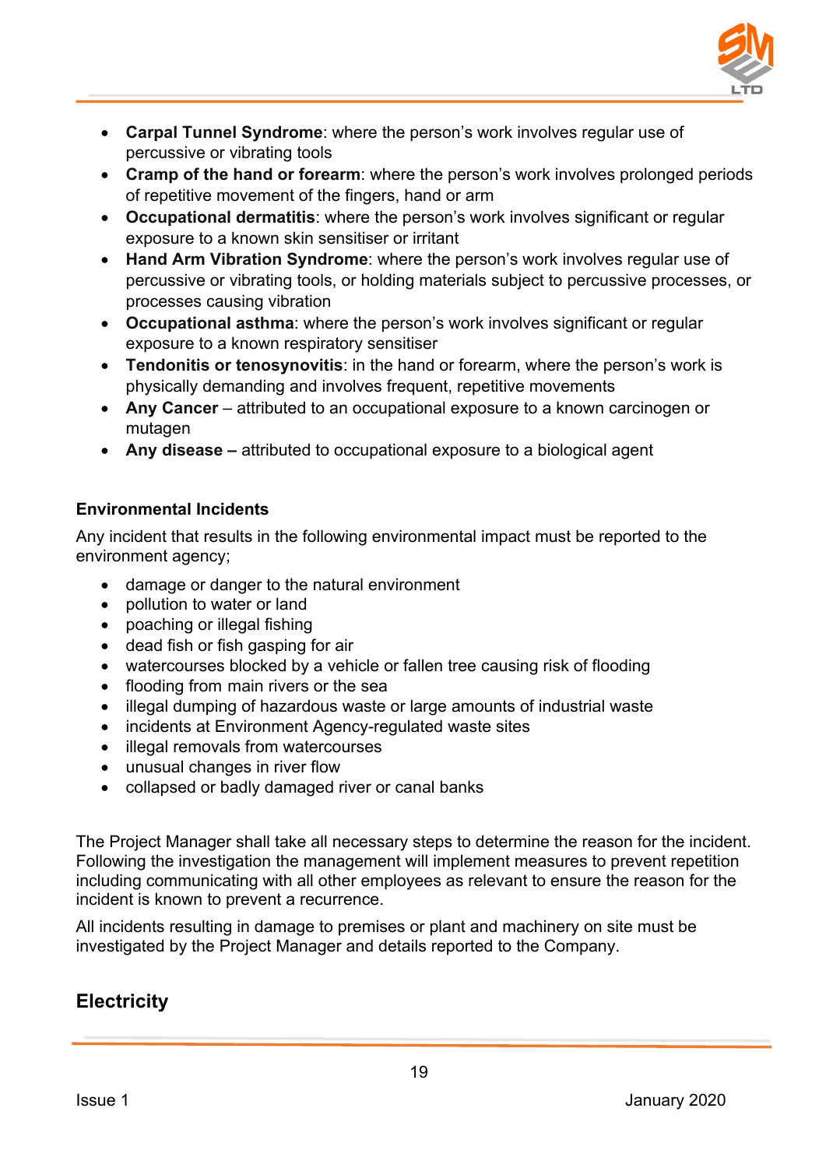

- **Carpal Tunnel Syndrome**: where the person's work involves regular use of percussive or vibrating tools
- **Cramp of the hand or forearm**: where the person's work involves prolonged periods of repetitive movement of the fingers, hand or arm
- **Occupational dermatitis**: where the person's work involves significant or regular exposure to a known skin sensitiser or irritant
- **Hand Arm Vibration Syndrome**: where the person's work involves regular use of percussive or vibrating tools, or holding materials subject to percussive processes, or processes causing vibration
- **Occupational asthma**: where the person's work involves significant or regular exposure to a known respiratory sensitiser
- **Tendonitis or tenosynovitis**: in the hand or forearm, where the person's work is physically demanding and involves frequent, repetitive movements
- Any Cancer attributed to an occupational exposure to a known carcinogen or mutagen
- **Any disease –** attributed to occupational exposure to a biological agent

## **Environmental Incidents**

Any incident that results in the following environmental impact must be reported to the environment agency;

- damage or danger to the natural environment
- pollution to water or land
- poaching or illegal fishing
- dead fish or fish gasping for air
- watercourses blocked by a vehicle or fallen tree causing risk of flooding
- flooding from main rivers or the sea
- illegal dumping of hazardous waste or large amounts of industrial waste
- incidents at Environment Agency-regulated waste sites
- illegal removals from watercourses
- unusual changes in river flow
- collapsed or badly damaged river or canal banks

The Project Manager shall take all necessary steps to determine the reason for the incident. Following the investigation the management will implement measures to prevent repetition including communicating with all other employees as relevant to ensure the reason for the incident is known to prevent a recurrence.

All incidents resulting in damage to premises or plant and machinery on site must be investigated by the Project Manager and details reported to the Company.

# **Electricity**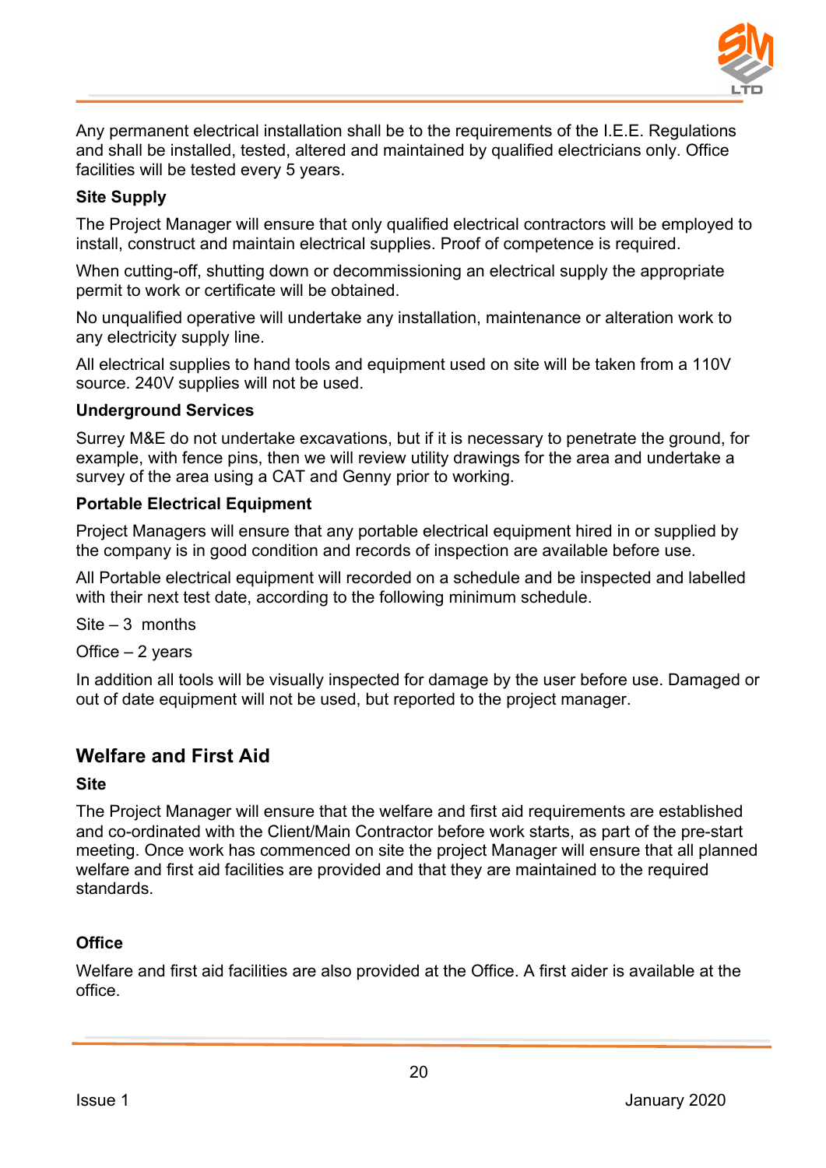

Any permanent electrical installation shall be to the requirements of the I.E.E. Regulations and shall be installed, tested, altered and maintained by qualified electricians only. Office facilities will be tested every 5 years.

## **Site Supply**

The Project Manager will ensure that only qualified electrical contractors will be employed to install, construct and maintain electrical supplies. Proof of competence is required.

When cutting-off, shutting down or decommissioning an electrical supply the appropriate permit to work or certificate will be obtained.

No unqualified operative will undertake any installation, maintenance or alteration work to any electricity supply line.

All electrical supplies to hand tools and equipment used on site will be taken from a 110V source. 240V supplies will not be used.

#### **Underground Services**

Surrey M&E do not undertake excavations, but if it is necessary to penetrate the ground, for example, with fence pins, then we will review utility drawings for the area and undertake a survey of the area using a CAT and Genny prior to working.

### **Portable Electrical Equipment**

Project Managers will ensure that any portable electrical equipment hired in or supplied by the company is in good condition and records of inspection are available before use.

All Portable electrical equipment will recorded on a schedule and be inspected and labelled with their next test date, according to the following minimum schedule.

 $Site - 3 months$ 

Office – 2 years

In addition all tools will be visually inspected for damage by the user before use. Damaged or out of date equipment will not be used, but reported to the project manager.

## **Welfare and First Aid**

### **Site**

The Project Manager will ensure that the welfare and first aid requirements are established and co-ordinated with the Client/Main Contractor before work starts, as part of the pre-start meeting. Once work has commenced on site the project Manager will ensure that all planned welfare and first aid facilities are provided and that they are maintained to the required standards.

### **Office**

Welfare and first aid facilities are also provided at the Office. A first aider is available at the office.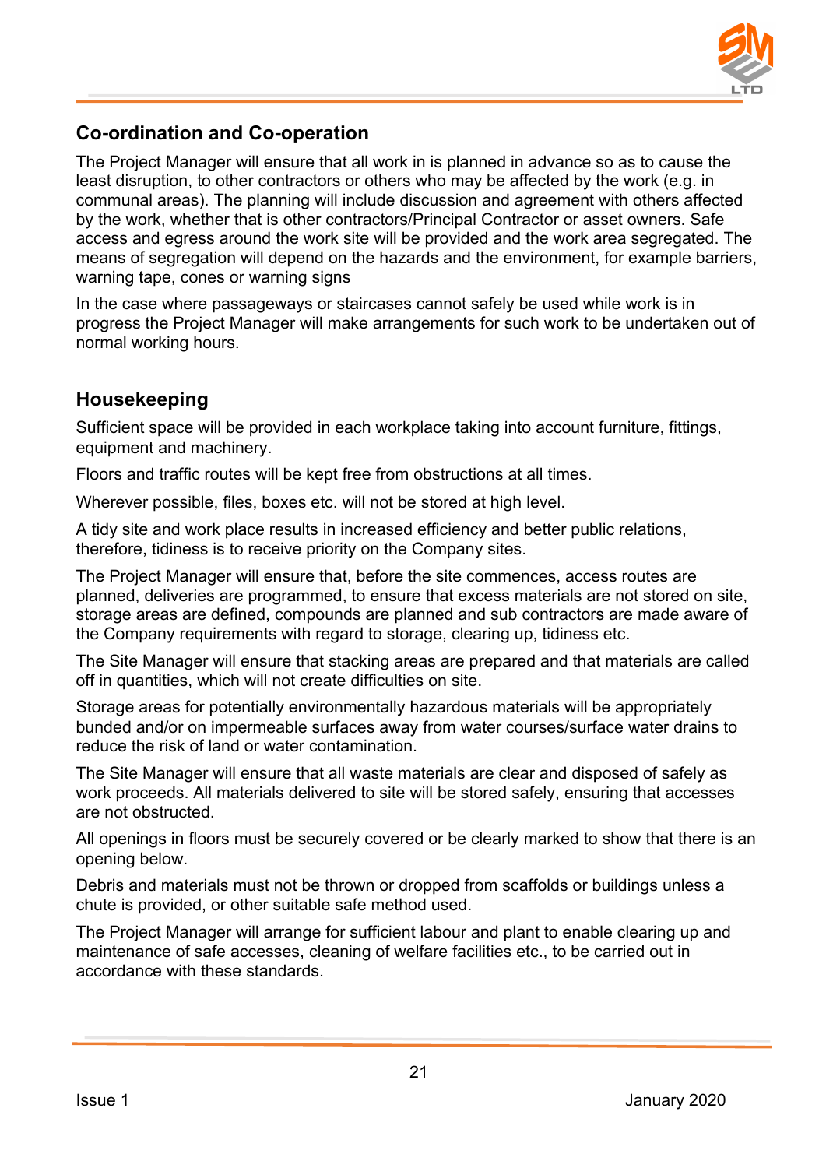

## **Co-ordination and Co-operation**

The Project Manager will ensure that all work in is planned in advance so as to cause the least disruption, to other contractors or others who may be affected by the work (e.g. in communal areas). The planning will include discussion and agreement with others affected by the work, whether that is other contractors/Principal Contractor or asset owners. Safe access and egress around the work site will be provided and the work area segregated. The means of segregation will depend on the hazards and the environment, for example barriers, warning tape, cones or warning signs

In the case where passageways or staircases cannot safely be used while work is in progress the Project Manager will make arrangements for such work to be undertaken out of normal working hours.

## **Housekeeping**

Sufficient space will be provided in each workplace taking into account furniture, fittings, equipment and machinery.

Floors and traffic routes will be kept free from obstructions at all times.

Wherever possible, files, boxes etc. will not be stored at high level.

A tidy site and work place results in increased efficiency and better public relations, therefore, tidiness is to receive priority on the Company sites.

The Project Manager will ensure that, before the site commences, access routes are planned, deliveries are programmed, to ensure that excess materials are not stored on site, storage areas are defined, compounds are planned and sub contractors are made aware of the Company requirements with regard to storage, clearing up, tidiness etc.

The Site Manager will ensure that stacking areas are prepared and that materials are called off in quantities, which will not create difficulties on site.

Storage areas for potentially environmentally hazardous materials will be appropriately bunded and/or on impermeable surfaces away from water courses/surface water drains to reduce the risk of land or water contamination.

The Site Manager will ensure that all waste materials are clear and disposed of safely as work proceeds. All materials delivered to site will be stored safely, ensuring that accesses are not obstructed.

All openings in floors must be securely covered or be clearly marked to show that there is an opening below.

Debris and materials must not be thrown or dropped from scaffolds or buildings unless a chute is provided, or other suitable safe method used.

The Project Manager will arrange for sufficient labour and plant to enable clearing up and maintenance of safe accesses, cleaning of welfare facilities etc., to be carried out in accordance with these standards.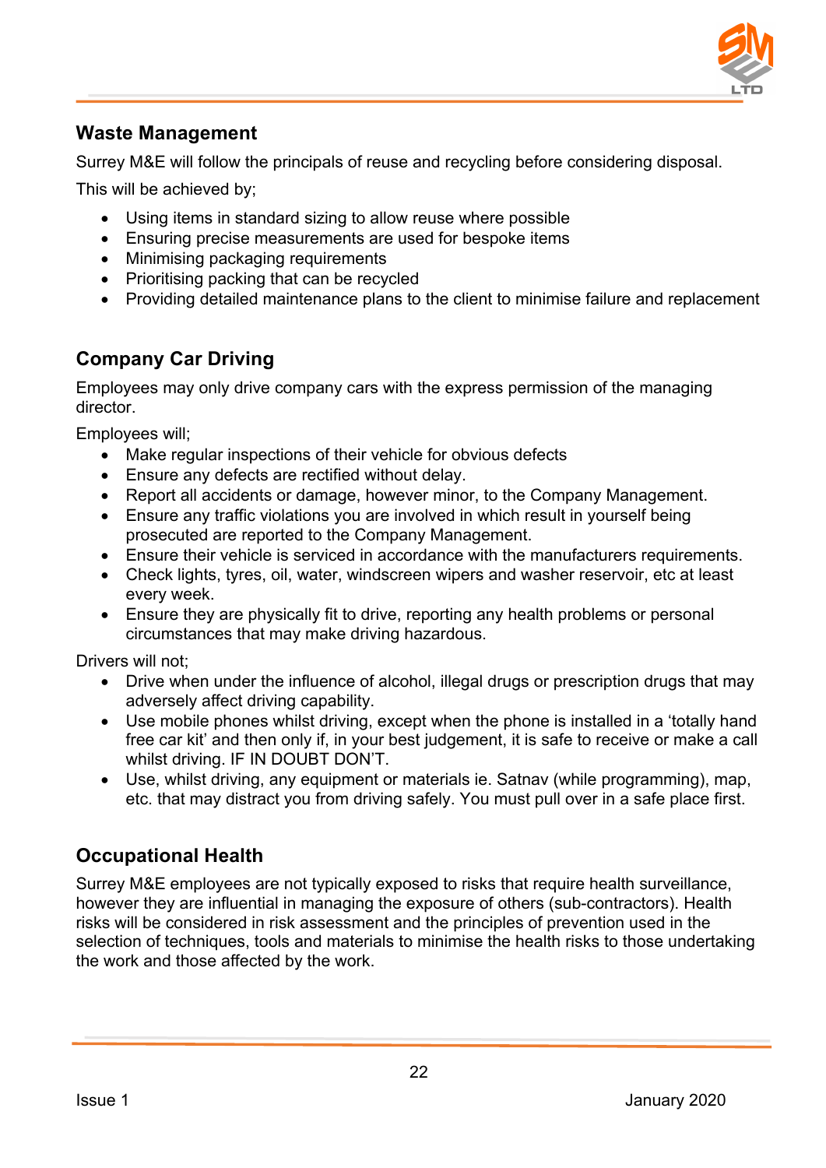

## **Waste Management**

Surrey M&E will follow the principals of reuse and recycling before considering disposal.

This will be achieved by;

- Using items in standard sizing to allow reuse where possible
- Ensuring precise measurements are used for bespoke items
- Minimising packaging requirements
- Prioritising packing that can be recycled
- Providing detailed maintenance plans to the client to minimise failure and replacement

# **Company Car Driving**

Employees may only drive company cars with the express permission of the managing director.

Employees will;

- Make regular inspections of their vehicle for obvious defects
- Ensure any defects are rectified without delay.
- Report all accidents or damage, however minor, to the Company Management.
- Ensure any traffic violations you are involved in which result in yourself being prosecuted are reported to the Company Management.
- Ensure their vehicle is serviced in accordance with the manufacturers requirements.
- Check lights, tyres, oil, water, windscreen wipers and washer reservoir, etc at least every week.
- Ensure they are physically fit to drive, reporting any health problems or personal circumstances that may make driving hazardous.

Drivers will not;

- Drive when under the influence of alcohol, illegal drugs or prescription drugs that may adversely affect driving capability.
- Use mobile phones whilst driving, except when the phone is installed in a 'totally hand free car kit' and then only if, in your best judgement, it is safe to receive or make a call whilst driving. IF IN DOUBT DON'T.
- Use, whilst driving, any equipment or materials ie. Satnav (while programming), map, etc. that may distract you from driving safely. You must pull over in a safe place first.

# **Occupational Health**

Surrey M&E employees are not typically exposed to risks that require health surveillance, however they are influential in managing the exposure of others (sub-contractors). Health risks will be considered in risk assessment and the principles of prevention used in the selection of techniques, tools and materials to minimise the health risks to those undertaking the work and those affected by the work.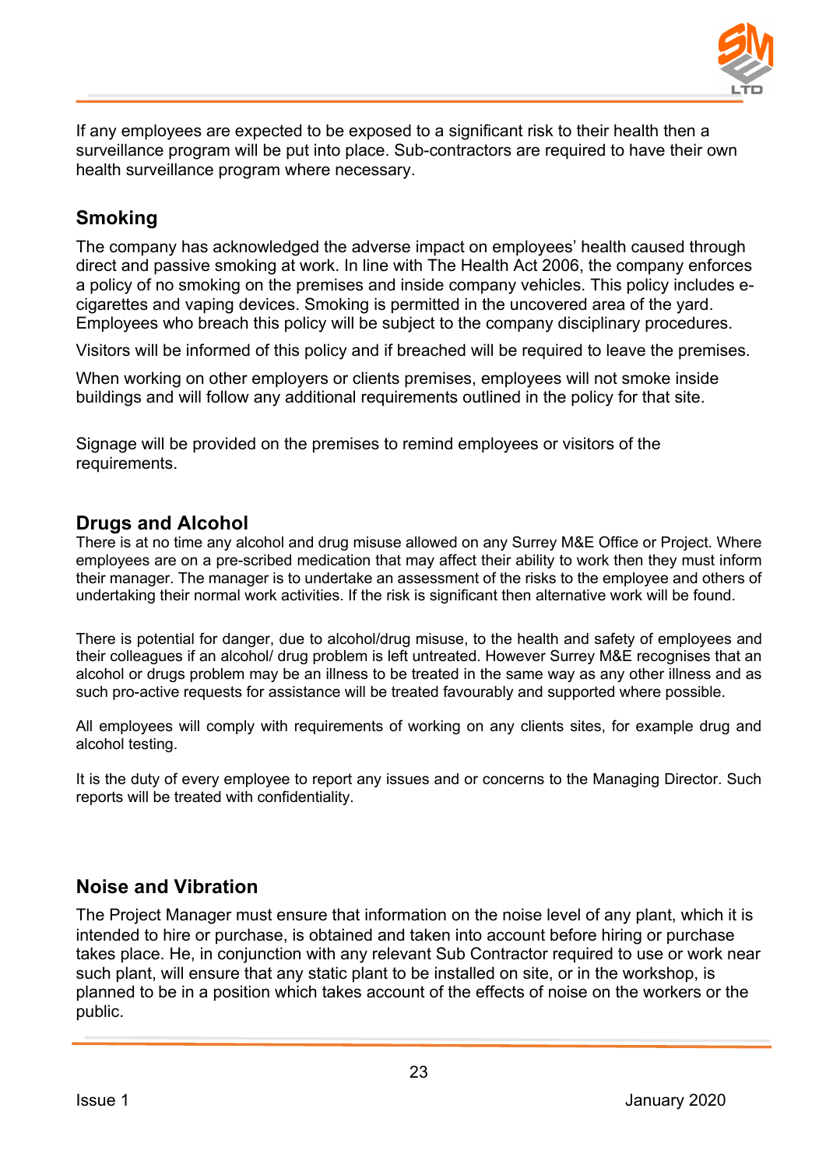

If any employees are expected to be exposed to a significant risk to their health then a surveillance program will be put into place. Sub-contractors are required to have their own health surveillance program where necessary.

## **Smoking**

The company has acknowledged the adverse impact on employees' health caused through direct and passive smoking at work. In line with The Health Act 2006, the company enforces a policy of no smoking on the premises and inside company vehicles. This policy includes ecigarettes and vaping devices. Smoking is permitted in the uncovered area of the yard. Employees who breach this policy will be subject to the company disciplinary procedures.

Visitors will be informed of this policy and if breached will be required to leave the premises.

When working on other employers or clients premises, employees will not smoke inside buildings and will follow any additional requirements outlined in the policy for that site.

Signage will be provided on the premises to remind employees or visitors of the requirements.

## **Drugs and Alcohol**

There is at no time any alcohol and drug misuse allowed on any Surrey M&E Office or Project. Where employees are on a pre-scribed medication that may affect their ability to work then they must inform their manager. The manager is to undertake an assessment of the risks to the employee and others of undertaking their normal work activities. If the risk is significant then alternative work will be found.

There is potential for danger, due to alcohol/drug misuse, to the health and safety of employees and their colleagues if an alcohol/ drug problem is left untreated. However Surrey M&E recognises that an alcohol or drugs problem may be an illness to be treated in the same way as any other illness and as such pro-active requests for assistance will be treated favourably and supported where possible.

All employees will comply with requirements of working on any clients sites, for example drug and alcohol testing.

It is the duty of every employee to report any issues and or concerns to the Managing Director. Such reports will be treated with confidentiality.

## **Noise and Vibration**

The Project Manager must ensure that information on the noise level of any plant, which it is intended to hire or purchase, is obtained and taken into account before hiring or purchase takes place. He, in conjunction with any relevant Sub Contractor required to use or work near such plant, will ensure that any static plant to be installed on site, or in the workshop, is planned to be in a position which takes account of the effects of noise on the workers or the public.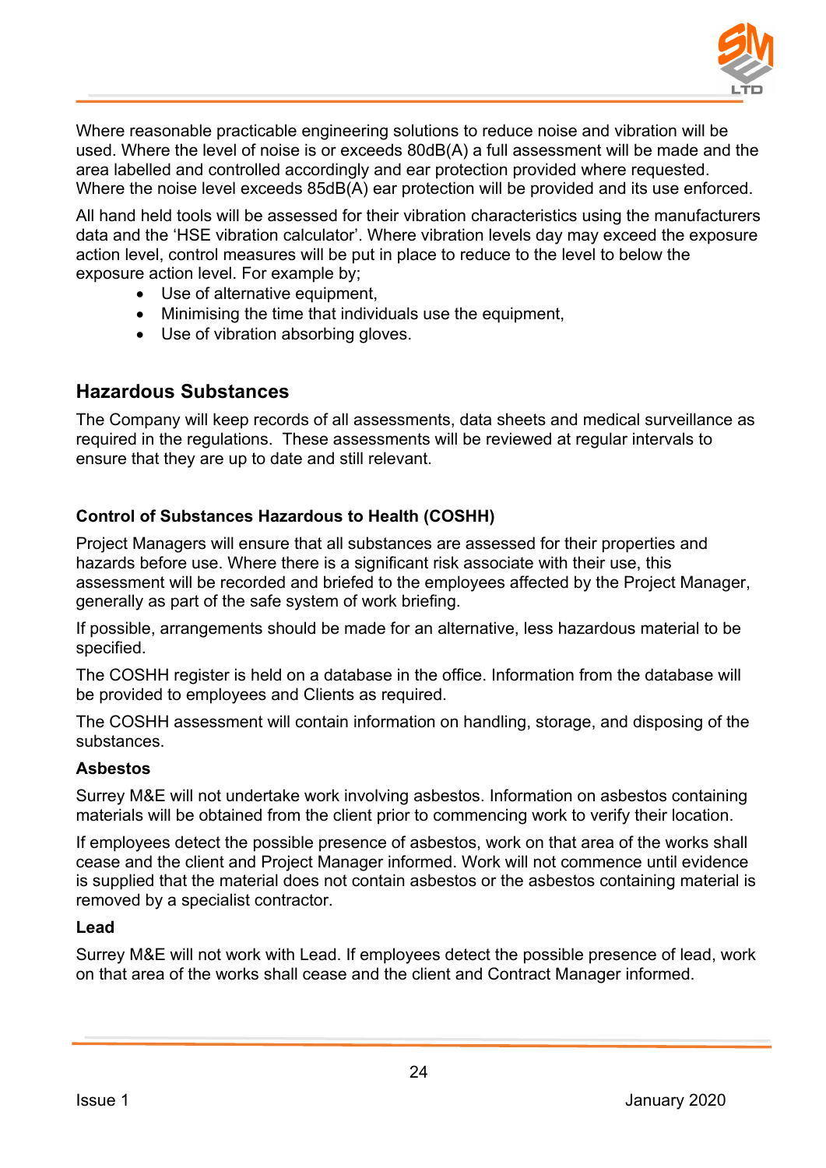

Where reasonable practicable engineering solutions to reduce noise and vibration will be used. Where the level of noise is or exceeds 80dB(A) a full assessment will be made and the area labelled and controlled accordingly and ear protection provided where requested. Where the noise level exceeds 85dB(A) ear protection will be provided and its use enforced.

All hand held tools will be assessed for their vibration characteristics using the manufacturers data and the 'HSE vibration calculator'. Where vibration levels day may exceed the exposure action level, control measures will be put in place to reduce to the level to below the exposure action level. For example by;

- Use of alternative equipment,
- Minimising the time that individuals use the equipment,
- Use of vibration absorbing gloves.

## **Hazardous Substances**

The Company will keep records of all assessments, data sheets and medical surveillance as required in the regulations. These assessments will be reviewed at regular intervals to ensure that they are up to date and still relevant.

## **Control of Substances Hazardous to Health (COSHH)**

Project Managers will ensure that all substances are assessed for their properties and hazards before use. Where there is a significant risk associate with their use, this assessment will be recorded and briefed to the employees affected by the Project Manager, generally as part of the safe system of work briefing.

If possible, arrangements should be made for an alternative, less hazardous material to be specified.

The COSHH register is held on a database in the office. Information from the database will be provided to employees and Clients as required.

The COSHH assessment will contain information on handling, storage, and disposing of the substances.

### **Asbestos**

Surrey M&E will not undertake work involving asbestos. Information on asbestos containing materials will be obtained from the client prior to commencing work to verify their location.

If employees detect the possible presence of asbestos, work on that area of the works shall cease and the client and Project Manager informed. Work will not commence until evidence is supplied that the material does not contain asbestos or the asbestos containing material is removed by a specialist contractor.

### **Lead**

Surrey M&E will not work with Lead. If employees detect the possible presence of lead, work on that area of the works shall cease and the client and Contract Manager informed.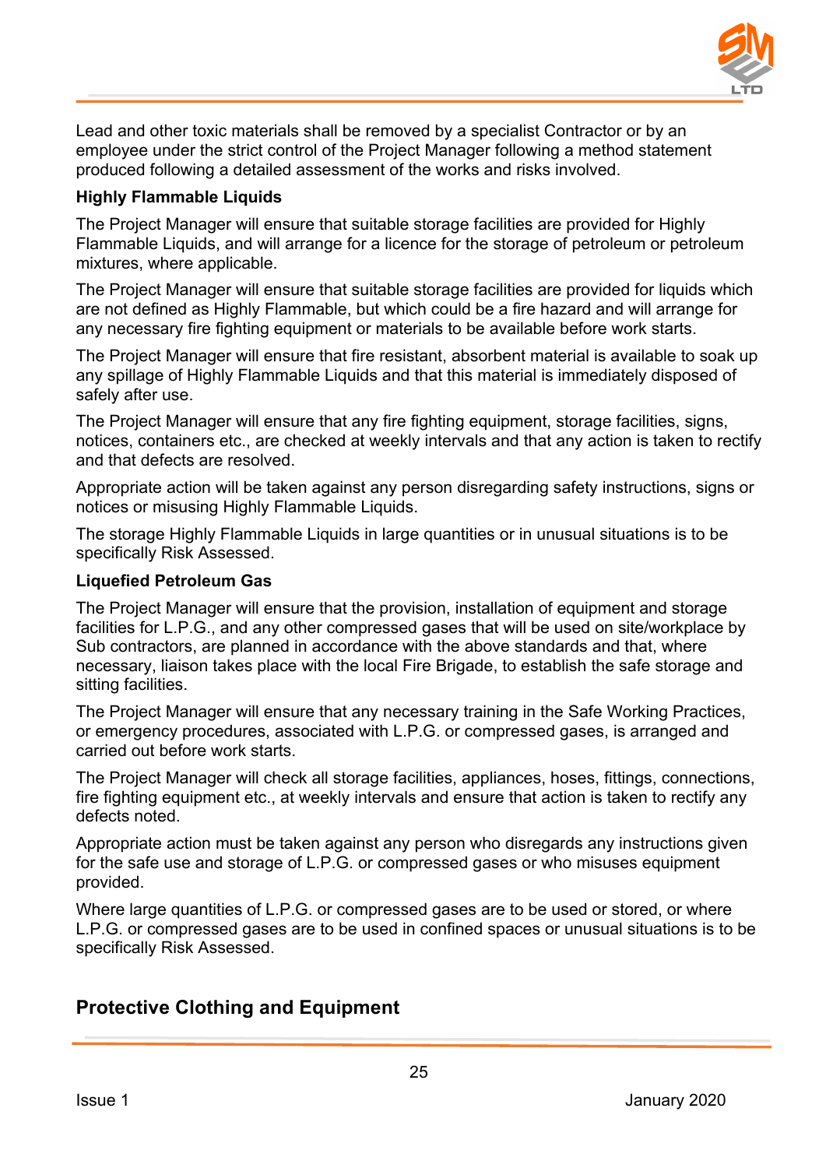

Lead and other toxic materials shall be removed by a specialist Contractor or by an employee under the strict control of the Project Manager following a method statement produced following a detailed assessment of the works and risks involved.

### **Highly Flammable Liquids**

The Project Manager will ensure that suitable storage facilities are provided for Highly Flammable Liquids, and will arrange for a licence for the storage of petroleum or petroleum mixtures, where applicable.

The Project Manager will ensure that suitable storage facilities are provided for liquids which are not defined as Highly Flammable, but which could be a fire hazard and will arrange for any necessary fire fighting equipment or materials to be available before work starts.

The Project Manager will ensure that fire resistant, absorbent material is available to soak up any spillage of Highly Flammable Liquids and that this material is immediately disposed of safely after use.

The Project Manager will ensure that any fire fighting equipment, storage facilities, signs, notices, containers etc., are checked at weekly intervals and that any action is taken to rectify and that defects are resolved.

Appropriate action will be taken against any person disregarding safety instructions, signs or notices or misusing Highly Flammable Liquids.

The storage Highly Flammable Liquids in large quantities or in unusual situations is to be specifically Risk Assessed.

#### **Liquefied Petroleum Gas**

The Project Manager will ensure that the provision, installation of equipment and storage facilities for L.P.G., and any other compressed gases that will be used on site/workplace by Sub contractors, are planned in accordance with the above standards and that, where necessary, liaison takes place with the local Fire Brigade, to establish the safe storage and sitting facilities.

The Project Manager will ensure that any necessary training in the Safe Working Practices, or emergency procedures, associated with L.P.G. or compressed gases, is arranged and carried out before work starts.

The Project Manager will check all storage facilities, appliances, hoses, fittings, connections, fire fighting equipment etc., at weekly intervals and ensure that action is taken to rectify any defects noted.

Appropriate action must be taken against any person who disregards any instructions given for the safe use and storage of L.P.G. or compressed gases or who misuses equipment provided.

Where large quantities of L.P.G. or compressed gases are to be used or stored, or where L.P.G. or compressed gases are to be used in confined spaces or unusual situations is to be specifically Risk Assessed.

## **Protective Clothing and Equipment**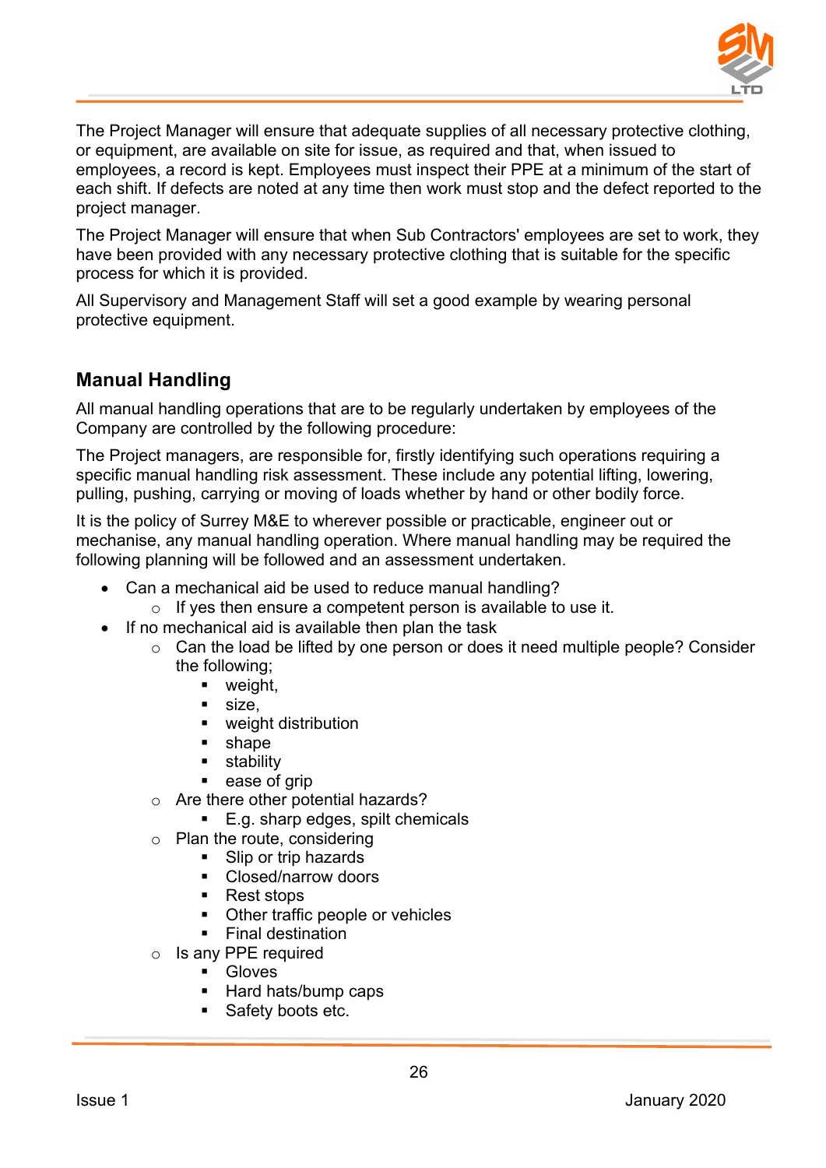

The Project Manager will ensure that adequate supplies of all necessary protective clothing, or equipment, are available on site for issue, as required and that, when issued to employees, a record is kept. Employees must inspect their PPE at a minimum of the start of each shift. If defects are noted at any time then work must stop and the defect reported to the project manager.

The Project Manager will ensure that when Sub Contractors' employees are set to work, they have been provided with any necessary protective clothing that is suitable for the specific process for which it is provided.

All Supervisory and Management Staff will set a good example by wearing personal protective equipment.

## **Manual Handling**

All manual handling operations that are to be regularly undertaken by employees of the Company are controlled by the following procedure:

The Project managers, are responsible for, firstly identifying such operations requiring a specific manual handling risk assessment. These include any potential lifting, lowering, pulling, pushing, carrying or moving of loads whether by hand or other bodily force.

It is the policy of Surrey M&E to wherever possible or practicable, engineer out or mechanise, any manual handling operation. Where manual handling may be required the following planning will be followed and an assessment undertaken.

- Can a mechanical aid be used to reduce manual handling?
	- $\circ$  If yes then ensure a competent person is available to use it.
	- If no mechanical aid is available then plan the task
		- o Can the load be lifted by one person or does it need multiple people? Consider the following;
			- weight,
			- size.
			- weight distribution
			- § shape
			- § stability
			- ease of grip
			- o Are there other potential hazards?
				- E.g. sharp edges, spilt chemicals
			- o Plan the route, considering
				- Slip or trip hazards
				- Closed/narrow doors
				- § Rest stops
				- Other traffic people or vehicles
				- Final destination
			- $\circ$  Is any PPE required
				- § Gloves
				- Hard hats/bump caps
				- Safety boots etc.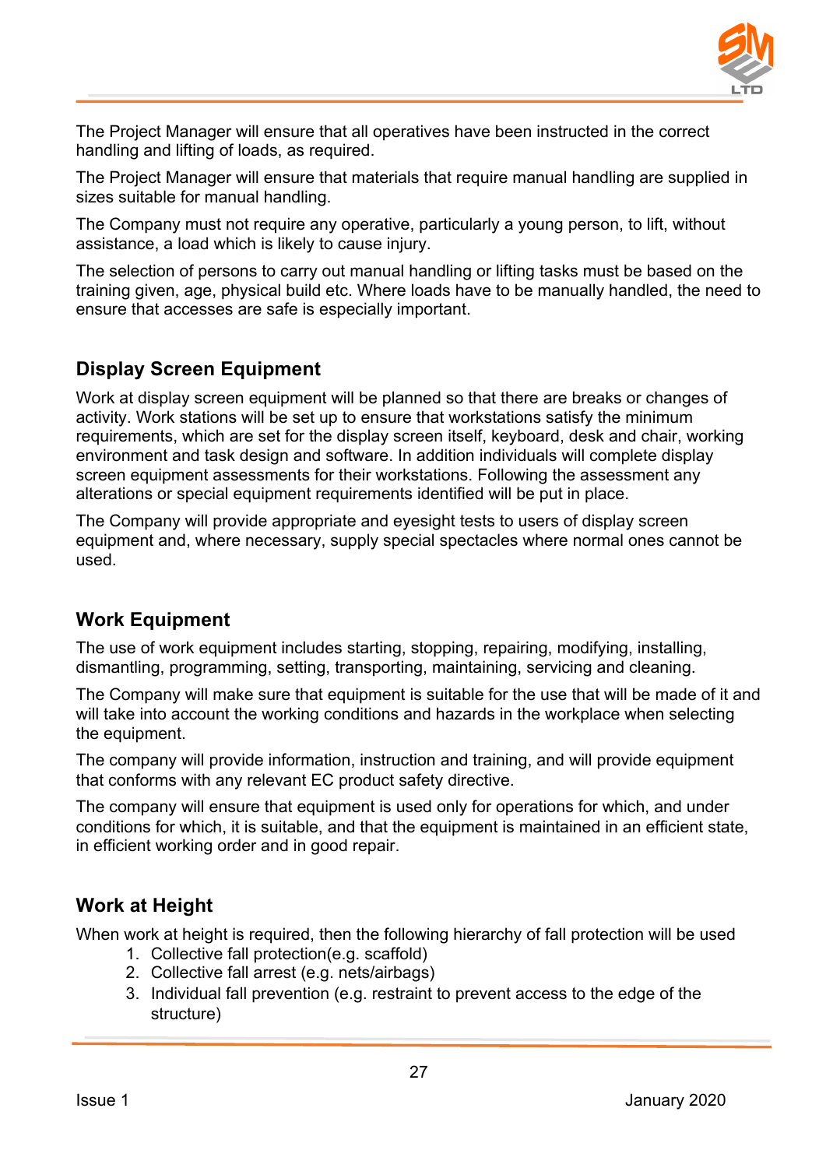

The Project Manager will ensure that all operatives have been instructed in the correct handling and lifting of loads, as required.

The Project Manager will ensure that materials that require manual handling are supplied in sizes suitable for manual handling.

The Company must not require any operative, particularly a young person, to lift, without assistance, a load which is likely to cause injury.

The selection of persons to carry out manual handling or lifting tasks must be based on the training given, age, physical build etc. Where loads have to be manually handled, the need to ensure that accesses are safe is especially important.

# **Display Screen Equipment**

Work at display screen equipment will be planned so that there are breaks or changes of activity. Work stations will be set up to ensure that workstations satisfy the minimum requirements, which are set for the display screen itself, keyboard, desk and chair, working environment and task design and software. In addition individuals will complete display screen equipment assessments for their workstations. Following the assessment any alterations or special equipment requirements identified will be put in place.

The Company will provide appropriate and eyesight tests to users of display screen equipment and, where necessary, supply special spectacles where normal ones cannot be used.

## **Work Equipment**

The use of work equipment includes starting, stopping, repairing, modifying, installing, dismantling, programming, setting, transporting, maintaining, servicing and cleaning.

The Company will make sure that equipment is suitable for the use that will be made of it and will take into account the working conditions and hazards in the workplace when selecting the equipment.

The company will provide information, instruction and training, and will provide equipment that conforms with any relevant EC product safety directive.

The company will ensure that equipment is used only for operations for which, and under conditions for which, it is suitable, and that the equipment is maintained in an efficient state, in efficient working order and in good repair.

# **Work at Height**

When work at height is required, then the following hierarchy of fall protection will be used

- 1. Collective fall protection(e.g. scaffold)
- 2. Collective fall arrest (e.g. nets/airbags)
- 3. Individual fall prevention (e.g. restraint to prevent access to the edge of the structure)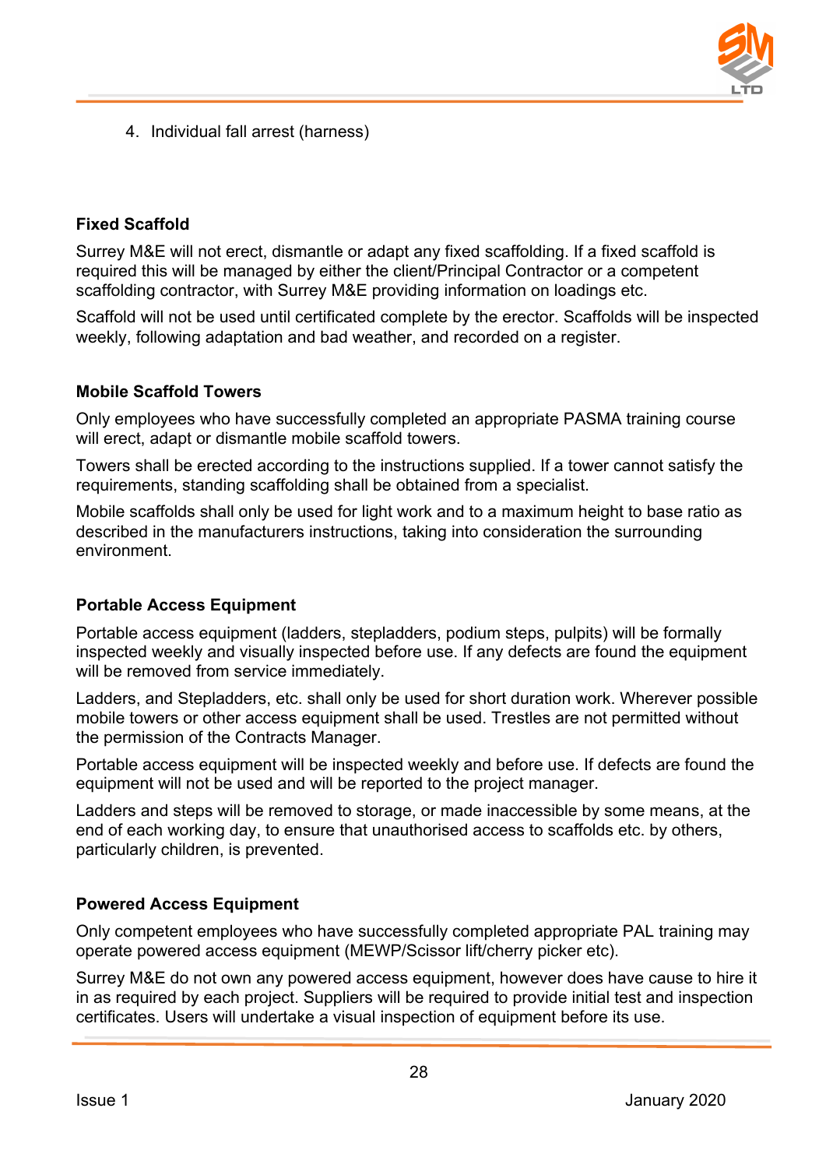

4. Individual fall arrest (harness)

## **Fixed Scaffold**

Surrey M&E will not erect, dismantle or adapt any fixed scaffolding. If a fixed scaffold is required this will be managed by either the client/Principal Contractor or a competent scaffolding contractor, with Surrey M&E providing information on loadings etc.

Scaffold will not be used until certificated complete by the erector. Scaffolds will be inspected weekly, following adaptation and bad weather, and recorded on a register.

#### **Mobile Scaffold Towers**

Only employees who have successfully completed an appropriate PASMA training course will erect, adapt or dismantle mobile scaffold towers.

Towers shall be erected according to the instructions supplied. If a tower cannot satisfy the requirements, standing scaffolding shall be obtained from a specialist.

Mobile scaffolds shall only be used for light work and to a maximum height to base ratio as described in the manufacturers instructions, taking into consideration the surrounding environment.

### **Portable Access Equipment**

Portable access equipment (ladders, stepladders, podium steps, pulpits) will be formally inspected weekly and visually inspected before use. If any defects are found the equipment will be removed from service immediately.

Ladders, and Stepladders, etc. shall only be used for short duration work. Wherever possible mobile towers or other access equipment shall be used. Trestles are not permitted without the permission of the Contracts Manager.

Portable access equipment will be inspected weekly and before use. If defects are found the equipment will not be used and will be reported to the project manager.

Ladders and steps will be removed to storage, or made inaccessible by some means, at the end of each working day, to ensure that unauthorised access to scaffolds etc. by others, particularly children, is prevented.

### **Powered Access Equipment**

Only competent employees who have successfully completed appropriate PAL training may operate powered access equipment (MEWP/Scissor lift/cherry picker etc).

Surrey M&E do not own any powered access equipment, however does have cause to hire it in as required by each project. Suppliers will be required to provide initial test and inspection certificates. Users will undertake a visual inspection of equipment before its use.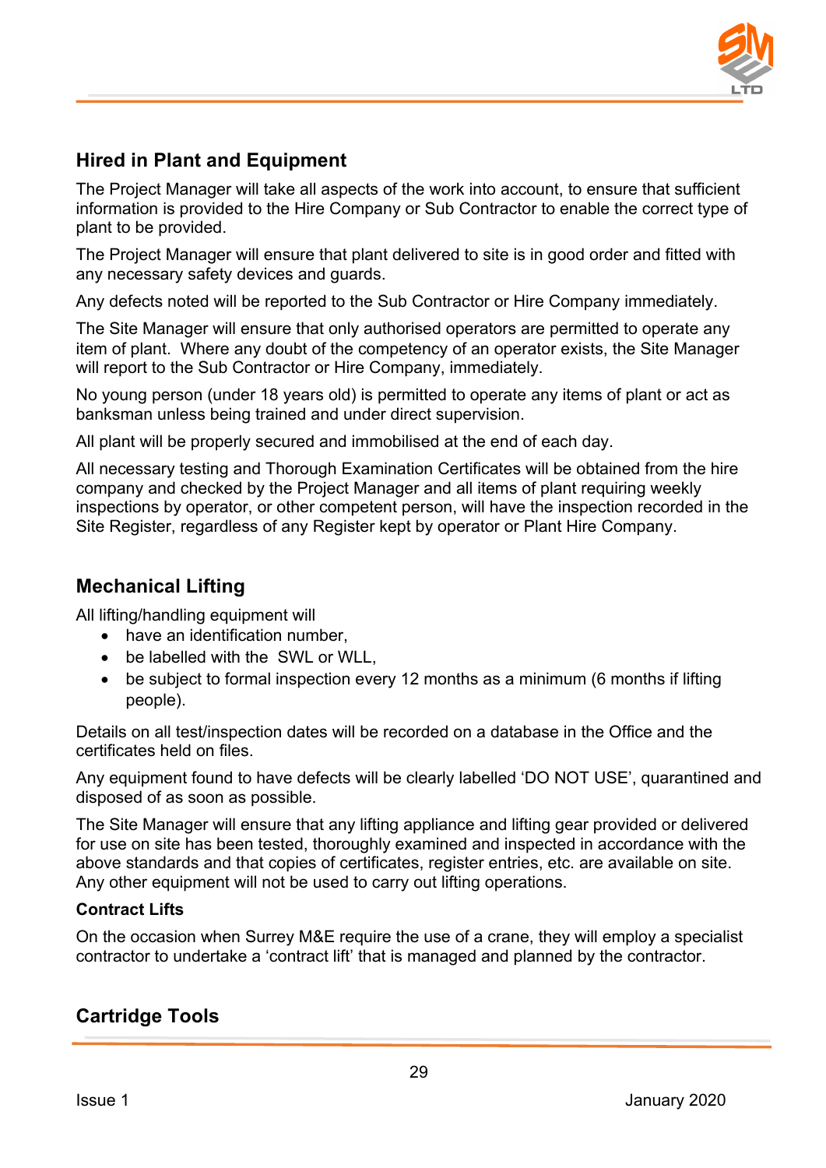

## **Hired in Plant and Equipment**

The Project Manager will take all aspects of the work into account, to ensure that sufficient information is provided to the Hire Company or Sub Contractor to enable the correct type of plant to be provided.

The Project Manager will ensure that plant delivered to site is in good order and fitted with any necessary safety devices and guards.

Any defects noted will be reported to the Sub Contractor or Hire Company immediately.

The Site Manager will ensure that only authorised operators are permitted to operate any item of plant. Where any doubt of the competency of an operator exists, the Site Manager will report to the Sub Contractor or Hire Company, immediately.

No young person (under 18 years old) is permitted to operate any items of plant or act as banksman unless being trained and under direct supervision.

All plant will be properly secured and immobilised at the end of each day.

All necessary testing and Thorough Examination Certificates will be obtained from the hire company and checked by the Project Manager and all items of plant requiring weekly inspections by operator, or other competent person, will have the inspection recorded in the Site Register, regardless of any Register kept by operator or Plant Hire Company.

## **Mechanical Lifting**

All lifting/handling equipment will

- have an identification number,
- be labelled with the SWL or WLL.
- be subject to formal inspection every 12 months as a minimum (6 months if lifting people).

Details on all test/inspection dates will be recorded on a database in the Office and the certificates held on files.

Any equipment found to have defects will be clearly labelled 'DO NOT USE', quarantined and disposed of as soon as possible.

The Site Manager will ensure that any lifting appliance and lifting gear provided or delivered for use on site has been tested, thoroughly examined and inspected in accordance with the above standards and that copies of certificates, register entries, etc. are available on site. Any other equipment will not be used to carry out lifting operations.

### **Contract Lifts**

On the occasion when Surrey M&E require the use of a crane, they will employ a specialist contractor to undertake a 'contract lift' that is managed and planned by the contractor.

## **Cartridge Tools**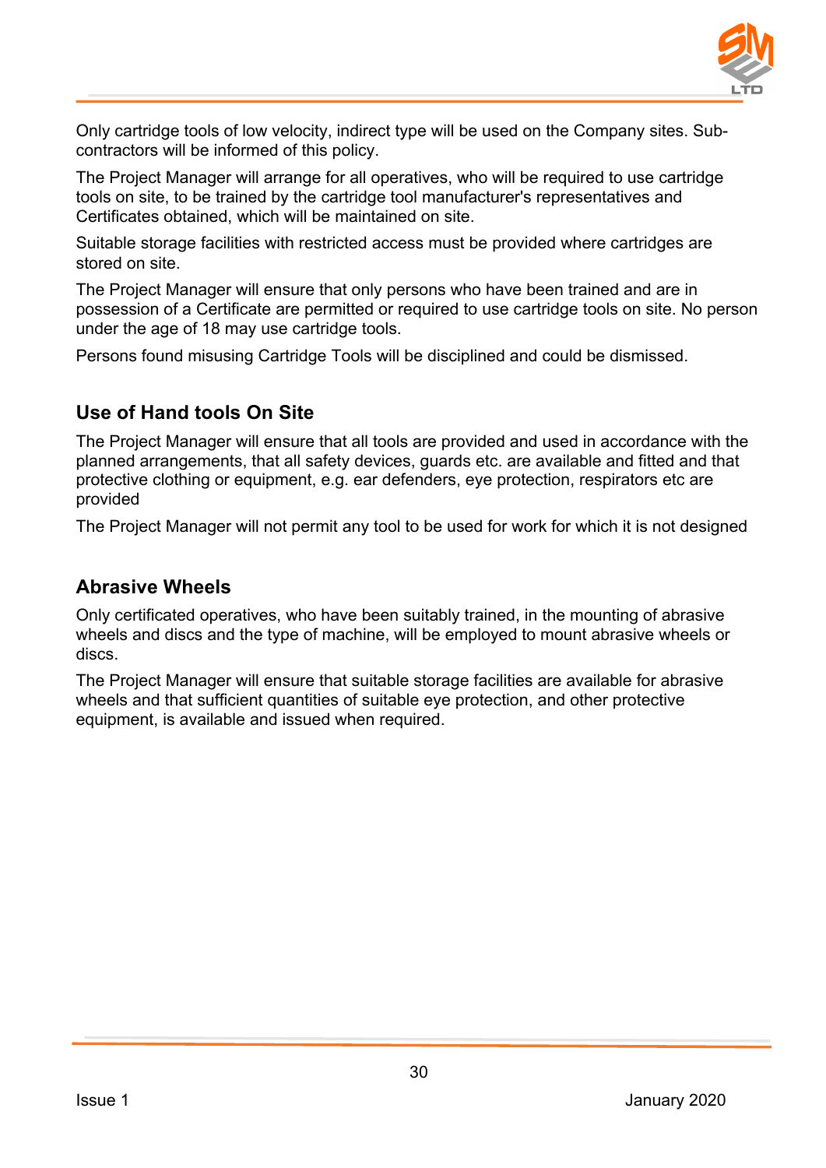

Only cartridge tools of low velocity, indirect type will be used on the Company sites. Subcontractors will be informed of this policy.

The Project Manager will arrange for all operatives, who will be required to use cartridge tools on site, to be trained by the cartridge tool manufacturer's representatives and Certificates obtained, which will be maintained on site.

Suitable storage facilities with restricted access must be provided where cartridges are stored on site.

The Project Manager will ensure that only persons who have been trained and are in possession of a Certificate are permitted or required to use cartridge tools on site. No person under the age of 18 may use cartridge tools.

Persons found misusing Cartridge Tools will be disciplined and could be dismissed.

## **Use of Hand tools On Site**

The Project Manager will ensure that all tools are provided and used in accordance with the planned arrangements, that all safety devices, guards etc. are available and fitted and that protective clothing or equipment, e.g. ear defenders, eye protection, respirators etc are provided

The Project Manager will not permit any tool to be used for work for which it is not designed

## **Abrasive Wheels**

Only certificated operatives, who have been suitably trained, in the mounting of abrasive wheels and discs and the type of machine, will be employed to mount abrasive wheels or discs.

The Project Manager will ensure that suitable storage facilities are available for abrasive wheels and that sufficient quantities of suitable eye protection, and other protective equipment, is available and issued when required.